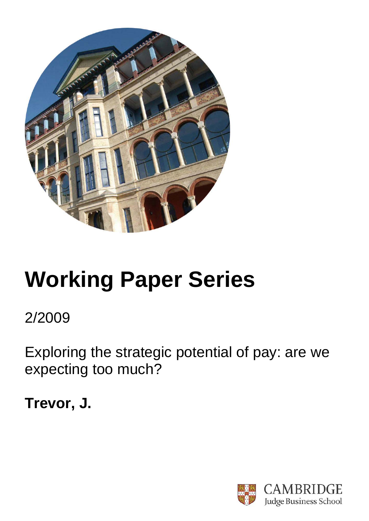

# **Working Paper Series**

2/2009

Exploring the strategic potential of pay: are we expecting too much?

**Trevor, J.**

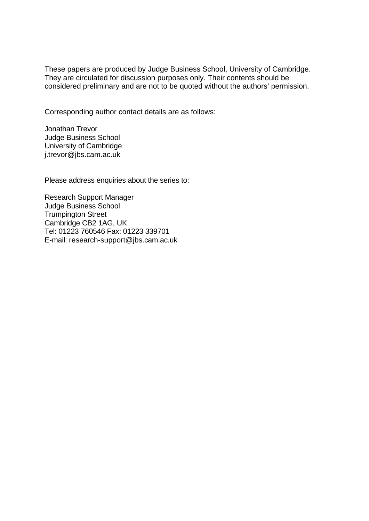These papers are produced by Judge Business School, University of Cambridge. They are circulated for discussion purposes only. Their contents should be considered preliminary and are not to be quoted without the authors' permission.

Corresponding author contact details are as follows:

Jonathan Trevor Judge Business School University of Cambridge j.trevor@jbs.cam.ac.uk

Please address enquiries about the series to:

Research Support Manager Judge Business School Trumpington Street Cambridge CB2 1AG, UK Tel: 01223 760546 Fax: 01223 339701 E-mail: research-support@jbs.cam.ac.uk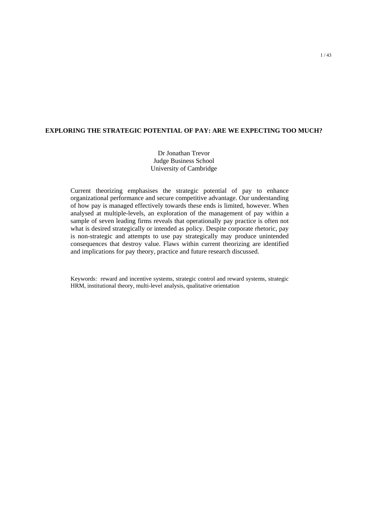# **EXPLORING THE STRATEGIC POTENTIAL OF PAY: ARE WE EXPECTING TOO MUCH?**

Dr Jonathan Trevor Judge Business School University of Cambridge

Current theorizing emphasises the strategic potential of pay to enhance organizational performance and secure competitive advantage. Our understanding of how pay is managed effectively towards these ends is limited, however. When analysed at multiple-levels, an exploration of the management of pay within a sample of seven leading firms reveals that operationally pay practice is often not what is desired strategically or intended as policy. Despite corporate rhetoric, pay is non-strategic and attempts to use pay strategically may produce unintended consequences that destroy value. Flaws within current theorizing are identified and implications for pay theory, practice and future research discussed.

Keywords: reward and incentive systems, strategic control and reward systems, strategic HRM, institutional theory, multi-level analysis, qualitative orientation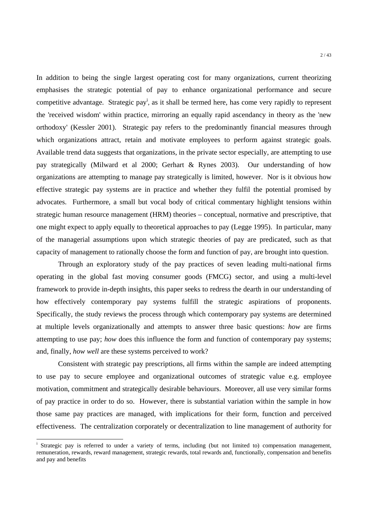In addition to being the single largest operating cost for many organizations, current theorizing emphasises the strategic potential of pay to enhance organizational performance and secure competitive advantage. Strategic pay<sup>i</sup>, as it shall be termed here, has come very rapidly to represent the 'received wisdom' within practice, mirroring an equally rapid ascendancy in theory as the 'new orthodoxy' (Kessler 2001). Strategic pay refers to the predominantly financial measures through which organizations attract, retain and motivate employees to perform against strategic goals. Available trend data suggests that organizations, in the private sector especially, are attempting to use pay strategically (Milward et al 2000; Gerhart & Rynes 2003). Our understanding of how organizations are attempting to manage pay strategically is limited, however. Nor is it obvious how effective strategic pay systems are in practice and whether they fulfil the potential promised by advocates. Furthermore, a small but vocal body of critical commentary highlight tensions within strategic human resource management (HRM) theories – conceptual, normative and prescriptive, that one might expect to apply equally to theoretical approaches to pay (Legge 1995). In particular, many of the managerial assumptions upon which strategic theories of pay are predicated, such as that capacity of management to rationally choose the form and function of pay, are brought into question.

Through an exploratory study of the pay practices of seven leading multi-national firms operating in the global fast moving consumer goods (FMCG) sector, and using a multi-level framework to provide in-depth insights, this paper seeks to redress the dearth in our understanding of how effectively contemporary pay systems fulfill the strategic aspirations of proponents. Specifically, the study reviews the process through which contemporary pay systems are determined at multiple levels organizationally and attempts to answer three basic questions: *how* are firms attempting to use pay; *how* does this influence the form and function of contemporary pay systems; and, finally, *how well* are these systems perceived to work?

Consistent with strategic pay prescriptions, all firms within the sample are indeed attempting to use pay to secure employee and organizational outcomes of strategic value e.g. employee motivation, commitment and strategically desirable behaviours. Moreover, all use very similar forms of pay practice in order to do so. However, there is substantial variation within the sample in how those same pay practices are managed, with implications for their form, function and perceived effectiveness. The centralization corporately or decentralization to line management of authority for

<u>.</u>

<sup>&</sup>lt;sup>i</sup> Strategic pay is referred to under a variety of terms, including (but not limited to) compensation management, remuneration, rewards, reward management, strategic rewards, total rewards and, functionally, compensation and benefits and pay and benefits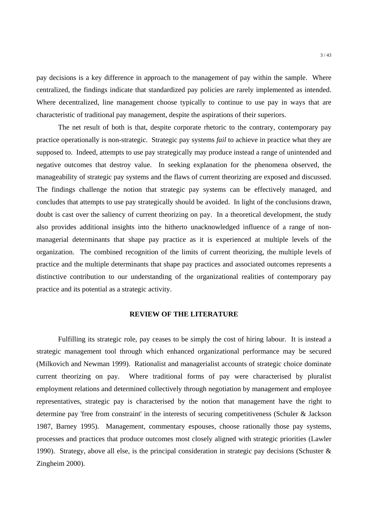pay decisions is a key difference in approach to the management of pay within the sample. Where centralized, the findings indicate that standardized pay policies are rarely implemented as intended. Where decentralized, line management choose typically to continue to use pay in ways that are characteristic of traditional pay management, despite the aspirations of their superiors.

The net result of both is that, despite corporate rhetoric to the contrary, contemporary pay practice operationally is non-strategic. Strategic pay systems *fail* to achieve in practice what they are supposed to. Indeed, attempts to use pay strategically may produce instead a range of unintended and negative outcomes that destroy value. In seeking explanation for the phenomena observed, the manageability of strategic pay systems and the flaws of current theorizing are exposed and discussed. The findings challenge the notion that strategic pay systems can be effectively managed, and concludes that attempts to use pay strategically should be avoided. In light of the conclusions drawn, doubt is cast over the saliency of current theorizing on pay. In a theoretical development, the study also provides additional insights into the hitherto unacknowledged influence of a range of nonmanagerial determinants that shape pay practice as it is experienced at multiple levels of the organization. The combined recognition of the limits of current theorizing, the multiple levels of practice and the multiple determinants that shape pay practices and associated outcomes represents a distinctive contribution to our understanding of the organizational realities of contemporary pay practice and its potential as a strategic activity.

# **REVIEW OF THE LITERATURE**

Fulfilling its strategic role, pay ceases to be simply the cost of hiring labour. It is instead a strategic management tool through which enhanced organizational performance may be secured (Milkovich and Newman 1999). Rationalist and managerialist accounts of strategic choice dominate current theorizing on pay. Where traditional forms of pay were characterised by pluralist employment relations and determined collectively through negotiation by management and employee representatives, strategic pay is characterised by the notion that management have the right to determine pay 'free from constraint' in the interests of securing competitiveness (Schuler & Jackson 1987, Barney 1995). Management, commentary espouses, choose rationally those pay systems, processes and practices that produce outcomes most closely aligned with strategic priorities (Lawler 1990). Strategy, above all else, is the principal consideration in strategic pay decisions (Schuster & Zingheim 2000).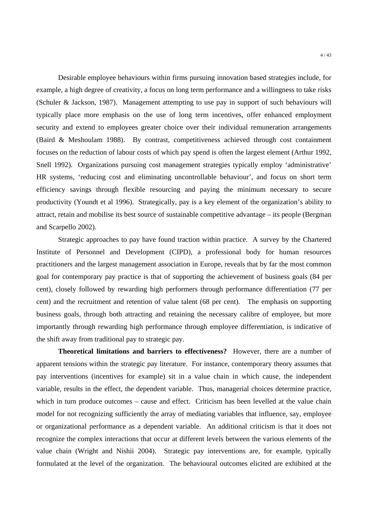Desirable employee behaviours within firms pursuing innovation based strategies include, for example, a high degree of creativity, a focus on long term performance and a willingness to take risks (Schuler & Jackson, 1987). Management attempting to use pay in support of such behaviours will typically place more emphasis on the use of long term incentives, offer enhanced employment security and extend to employees greater choice over their individual remuneration arrangements (Baird & Meshoulam 1988). By contrast, competitiveness achieved through cost containment focuses on the reduction of labour costs of which pay spend is often the largest element (Arthur 1992, Snell 1992). Organizations pursuing cost management strategies typically employ 'administrative' HR systems, 'reducing cost and eliminating uncontrollable behaviour', and focus on short term efficiency savings through flexible resourcing and paying the minimum necessary to secure productivity (Youndt et al 1996). Strategically, pay is a key element of the organization's ability to attract, retain and mobilise its best source of sustainable competitive advantage – its people (Bergman and Scarpello 2002).

Strategic approaches to pay have found traction within practice. A survey by the Chartered Institute of Personnel and Development (CIPD), a professional body for human resources practitioners and the largest management association in Europe, reveals that by far the most common goal for contemporary pay practice is that of supporting the achievement of business goals (84 per cent), closely followed by rewarding high performers through performance differentiation (77 per cent) and the recruitment and retention of value talent (68 per cent). The emphasis on supporting business goals, through both attracting and retaining the necessary calibre of employee, but more importantly through rewarding high performance through employee differentiation, is indicative of the shift away from traditional pay to strategic pay.

**Theoretical limitations and barriers to effectiveness?** However, there are a number of apparent tensions within the strategic pay literature. For instance, contemporary theory assumes that pay interventions (incentives for example) sit in a value chain in which cause, the independent variable, results in the effect, the dependent variable. Thus, managerial choices determine practice, which in turn produce outcomes – cause and effect. Criticism has been levelled at the value chain model for not recognizing sufficiently the array of mediating variables that influence, say, employee or organizational performance as a dependent variable. An additional criticism is that it does not recognize the complex interactions that occur at different levels between the various elements of the value chain (Wright and Nishii 2004). Strategic pay interventions are, for example, typically formulated at the level of the organization. The behavioural outcomes elicited are exhibited at the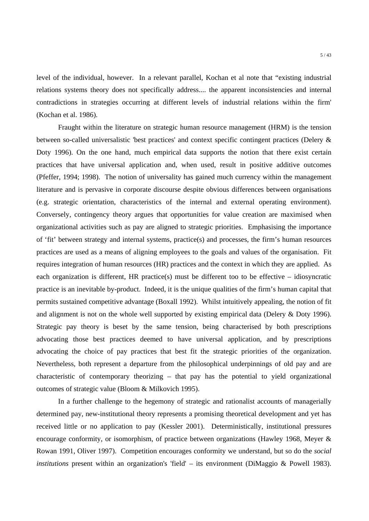level of the individual, however. In a relevant parallel, Kochan et al note that "existing industrial relations systems theory does not specifically address.... the apparent inconsistencies and internal contradictions in strategies occurring at different levels of industrial relations within the firm' (Kochan et al. 1986).

 Fraught within the literature on strategic human resource management (HRM) is the tension between so-called universalistic 'best practices' and context specific contingent practices (Delery & Doty 1996). On the one hand, much empirical data supports the notion that there exist certain practices that have universal application and, when used, result in positive additive outcomes (Pfeffer, 1994; 1998). The notion of universality has gained much currency within the management literature and is pervasive in corporate discourse despite obvious differences between organisations (e.g. strategic orientation, characteristics of the internal and external operating environment). Conversely, contingency theory argues that opportunities for value creation are maximised when organizational activities such as pay are aligned to strategic priorities. Emphasising the importance of 'fit' between strategy and internal systems, practice(s) and processes, the firm's human resources practices are used as a means of aligning employees to the goals and values of the organisation. Fit requires integration of human resources (HR) practices and the context in which they are applied. As each organization is different, HR practice(s) must be different too to be effective – idiosyncratic practice is an inevitable by-product. Indeed, it is the unique qualities of the firm's human capital that permits sustained competitive advantage (Boxall 1992). Whilst intuitively appealing, the notion of fit and alignment is not on the whole well supported by existing empirical data (Delery & Doty 1996). Strategic pay theory is beset by the same tension, being characterised by both prescriptions advocating those best practices deemed to have universal application, and by prescriptions advocating the choice of pay practices that best fit the strategic priorities of the organization. Nevertheless, both represent a departure from the philosophical underpinnings of old pay and are characteristic of contemporary theorizing – that pay has the potential to yield organizational outcomes of strategic value (Bloom & Milkovich 1995).

In a further challenge to the hegemony of strategic and rationalist accounts of managerially determined pay, new-institutional theory represents a promising theoretical development and yet has received little or no application to pay (Kessler 2001). Deterministically, institutional pressures encourage conformity, or isomorphism, of practice between organizations (Hawley 1968, Meyer & Rowan 1991, Oliver 1997). Competition encourages conformity we understand, but so do the *social institutions* present within an organization's 'field' – its environment (DiMaggio & Powell 1983).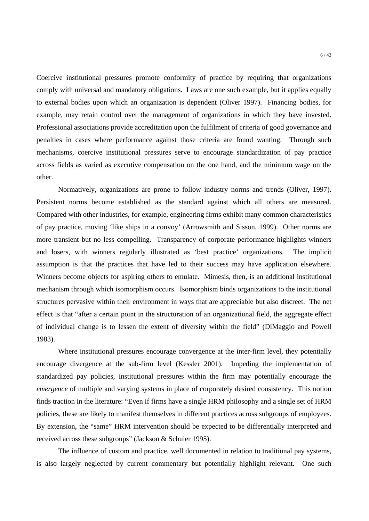Coercive institutional pressures promote conformity of practice by requiring that organizations comply with universal and mandatory obligations. Laws are one such example, but it applies equally to external bodies upon which an organization is dependent (Oliver 1997). Financing bodies, for example, may retain control over the management of organizations in which they have invested. Professional associations provide accreditation upon the fulfilment of criteria of good governance and penalties in cases where performance against those criteria are found wanting. Through such mechanisms, coercive institutional pressures serve to encourage standardization of pay practice across fields as varied as executive compensation on the one hand, and the minimum wage on the other.

 Normatively, organizations are prone to follow industry norms and trends (Oliver, 1997). Persistent norms become established as the standard against which all others are measured. Compared with other industries, for example, engineering firms exhibit many common characteristics of pay practice, moving 'like ships in a convoy' (Arrowsmith and Sisson, 1999). Other norms are more transient but no less compelling. Transparency of corporate performance highlights winners and losers, with winners regularly illustrated as 'best practice' organizations. The implicit assumption is that the practices that have led to their success may have application elsewhere. Winners become objects for aspiring others to emulate. Mimesis, then, is an additional institutional mechanism through which isomorphism occurs. Isomorphism binds organizations to the institutional structures pervasive within their environment in ways that are appreciable but also discreet. The net effect is that "after a certain point in the structuration of an organizational field, the aggregate effect of individual change is to lessen the extent of diversity within the field" (DiMaggio and Powell 1983).

 Where institutional pressures encourage convergence at the inter-firm level, they potentially encourage divergence at the sub-firm level (Kessler 2001). Impeding the implementation of standardized pay policies, institutional pressures within the firm may potentially encourage the *emergence* of multiple and varying systems in place of corporately desired consistency. This notion finds traction in the literature: "Even if firms have a single HRM philosophy and a single set of HRM policies, these are likely to manifest themselves in different practices across subgroups of employees. By extension, the "same" HRM intervention should be expected to be differentially interpreted and received across these subgroups" (Jackson & Schuler 1995).

 The influence of custom and practice, well documented in relation to traditional pay systems, is also largely neglected by current commentary but potentially highlight relevant. One such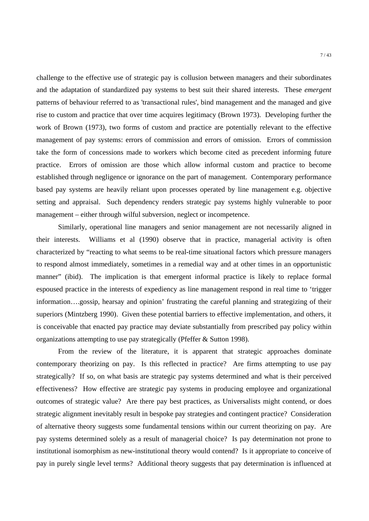challenge to the effective use of strategic pay is collusion between managers and their subordinates and the adaptation of standardized pay systems to best suit their shared interests. These *emergent* patterns of behaviour referred to as 'transactional rules', bind management and the managed and give rise to custom and practice that over time acquires legitimacy (Brown 1973). Developing further the work of Brown (1973), two forms of custom and practice are potentially relevant to the effective management of pay systems: errors of commission and errors of omission. Errors of commission take the form of concessions made to workers which become cited as precedent informing future practice. Errors of omission are those which allow informal custom and practice to become established through negligence or ignorance on the part of management. Contemporary performance based pay systems are heavily reliant upon processes operated by line management e.g. objective setting and appraisal. Such dependency renders strategic pay systems highly vulnerable to poor management – either through wilful subversion, neglect or incompetence.

Similarly, operational line managers and senior management are not necessarily aligned in their interests. Williams et al (1990) observe that in practice, managerial activity is often characterized by "reacting to what seems to be real-time situational factors which pressure managers to respond almost immediately, sometimes in a remedial way and at other times in an opportunistic manner" (ibid). The implication is that emergent informal practice is likely to replace formal espoused practice in the interests of expediency as line management respond in real time to 'trigger information….gossip, hearsay and opinion' frustrating the careful planning and strategizing of their superiors (Mintzberg 1990). Given these potential barriers to effective implementation, and others, it is conceivable that enacted pay practice may deviate substantially from prescribed pay policy within organizations attempting to use pay strategically (Pfeffer & Sutton 1998).

From the review of the literature, it is apparent that strategic approaches dominate contemporary theorizing on pay. Is this reflected in practice? Are firms attempting to use pay strategically? If so, on what basis are strategic pay systems determined and what is their perceived effectiveness? How effective are strategic pay systems in producing employee and organizational outcomes of strategic value? Are there pay best practices, as Universalists might contend, or does strategic alignment inevitably result in bespoke pay strategies and contingent practice? Consideration of alternative theory suggests some fundamental tensions within our current theorizing on pay. Are pay systems determined solely as a result of managerial choice? Is pay determination not prone to institutional isomorphism as new-institutional theory would contend? Is it appropriate to conceive of pay in purely single level terms? Additional theory suggests that pay determination is influenced at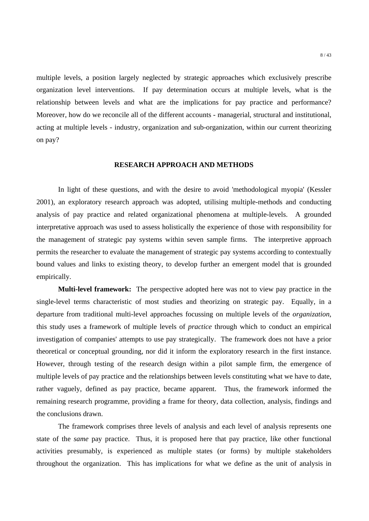multiple levels, a position largely neglected by strategic approaches which exclusively prescribe organization level interventions. If pay determination occurs at multiple levels, what is the relationship between levels and what are the implications for pay practice and performance? Moreover, how do we reconcile all of the different accounts - managerial, structural and institutional, acting at multiple levels - industry, organization and sub-organization, within our current theorizing on pay?

## **RESEARCH APPROACH AND METHODS**

In light of these questions, and with the desire to avoid 'methodological myopia' (Kessler 2001), an exploratory research approach was adopted, utilising multiple-methods and conducting analysis of pay practice and related organizational phenomena at multiple-levels. A grounded interpretative approach was used to assess holistically the experience of those with responsibility for the management of strategic pay systems within seven sample firms. The interpretive approach permits the researcher to evaluate the management of strategic pay systems according to contextually bound values and links to existing theory, to develop further an emergent model that is grounded empirically.

**Multi-level framework:** The perspective adopted here was not to view pay practice in the single-level terms characteristic of most studies and theorizing on strategic pay. Equally, in a departure from traditional multi-level approaches focussing on multiple levels of the *organization*, this study uses a framework of multiple levels of *practice* through which to conduct an empirical investigation of companies' attempts to use pay strategically. The framework does not have a prior theoretical or conceptual grounding, nor did it inform the exploratory research in the first instance. However, through testing of the research design within a pilot sample firm, the emergence of multiple levels of pay practice and the relationships between levels constituting what we have to date, rather vaguely, defined as pay practice, became apparent. Thus, the framework informed the remaining research programme, providing a frame for theory, data collection, analysis, findings and the conclusions drawn.

The framework comprises three levels of analysis and each level of analysis represents one state of the *same* pay practice. Thus, it is proposed here that pay practice, like other functional activities presumably, is experienced as multiple states (or forms) by multiple stakeholders throughout the organization. This has implications for what we define as the unit of analysis in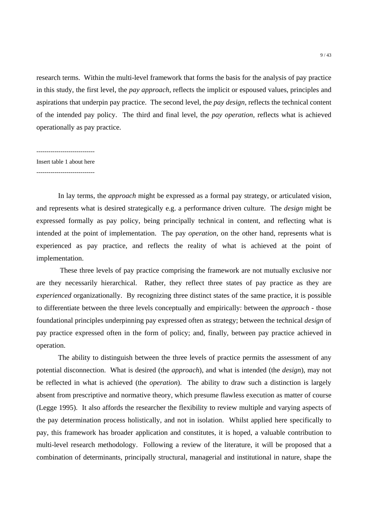research terms. Within the multi-level framework that forms the basis for the analysis of pay practice in this study, the first level, the *pay approach*, reflects the implicit or espoused values, principles and aspirations that underpin pay practice. The second level, the *pay design,* reflects the technical content of the intended pay policy. The third and final level, the *pay operation,* reflects what is achieved operationally as pay practice.

-----------------------------

# Insert table 1 about here

-----------------------------

In lay terms, the *approach* might be expressed as a formal pay strategy, or articulated vision, and represents what is desired strategically e.g. a performance driven culture. The *design* might be expressed formally as pay policy, being principally technical in content, and reflecting what is intended at the point of implementation. The pay *operation*, on the other hand, represents what is experienced as pay practice, and reflects the reality of what is achieved at the point of implementation.

 These three levels of pay practice comprising the framework are not mutually exclusive nor are they necessarily hierarchical. Rather, they reflect three states of pay practice as they are *experienced* organizationally. By recognizing three distinct states of the same practice, it is possible to differentiate between the three levels conceptually and empirically: between the *approach* - those foundational principles underpinning pay expressed often as strategy; between the technical *design* of pay practice expressed often in the form of policy; and, finally, between pay practice achieved in operation.

The ability to distinguish between the three levels of practice permits the assessment of any potential disconnection. What is desired (the *approach*), and what is intended (the *design*), may not be reflected in what is achieved (the *operation*). The ability to draw such a distinction is largely absent from prescriptive and normative theory, which presume flawless execution as matter of course (Legge 1995). It also affords the researcher the flexibility to review multiple and varying aspects of the pay determination process holistically, and not in isolation. Whilst applied here specifically to pay, this framework has broader application and constitutes, it is hoped, a valuable contribution to multi-level research methodology. Following a review of the literature, it will be proposed that a combination of determinants, principally structural, managerial and institutional in nature, shape the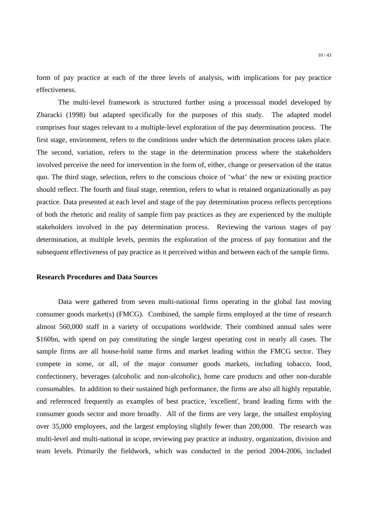form of pay practice at each of the three levels of analysis, with implications for pay practice effectiveness.

The multi-level framework is structured further using a processual model developed by Zbaracki (1998) but adapted specifically for the purposes of this study. The adapted model comprises four stages relevant to a multiple-level exploration of the pay determination process. The first stage, environment, refers to the conditions under which the determination process takes place. The second, variation, refers to the stage in the determination process where the stakeholders involved perceive the need for intervention in the form of, either, change or preservation of the status quo. The third stage, selection, refers to the conscious choice of 'what' the new or existing practice should reflect. The fourth and final stage, retention, refers to what is retained organizationally as pay practice. Data presented at each level and stage of the pay determination process reflects perceptions of both the rhetoric and reality of sample firm pay practices as they are experienced by the multiple stakeholders involved in the pay determination process. Reviewing the various stages of pay determination, at multiple levels, permits the exploration of the process of pay formation and the subsequent effectiveness of pay practice as it perceived within and between each of the sample firms.

## **Research Procedures and Data Sources**

Data were gathered from seven multi-national firms operating in the global fast moving consumer goods market(s) (FMCG). Combined, the sample firms employed at the time of research almost 560,000 staff in a variety of occupations worldwide. Their combined annual sales were \$160bn, with spend on pay constituting the single largest operating cost in nearly all cases. The sample firms are all house-hold name firms and market leading within the FMCG sector. They compete in some, or all, of the major consumer goods markets, including tobacco, food, confectionery, beverages (alcoholic and non-alcoholic), home care products and other non-durable consumables. In addition to their sustained high performance, the firms are also all highly reputable, and referenced frequently as examples of best practice, 'excellent', brand leading firms with the consumer goods sector and more broadly. All of the firms are very large, the smallest employing over 35,000 employees, and the largest employing slightly fewer than 200,000. The research was multi-level and multi-national in scope, reviewing pay practice at industry, organization, division and team levels. Primarily the fieldwork, which was conducted in the period 2004-2006, included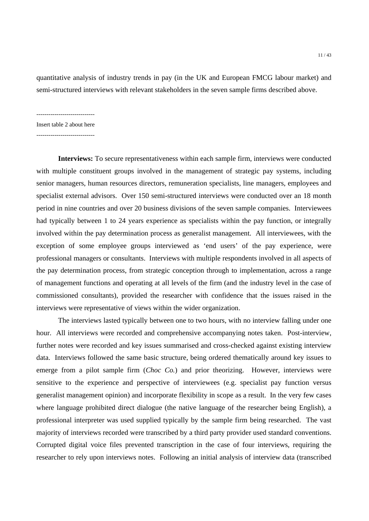quantitative analysis of industry trends in pay (in the UK and European FMCG labour market) and semi-structured interviews with relevant stakeholders in the seven sample firms described above.

 $-$ 

Insert table 2 about here

 $-$ 

**Interviews:** To secure representativeness within each sample firm, interviews were conducted with multiple constituent groups involved in the management of strategic pay systems, including senior managers, human resources directors, remuneration specialists, line managers, employees and specialist external advisors. Over 150 semi-structured interviews were conducted over an 18 month period in nine countries and over 20 business divisions of the seven sample companies. Interviewees had typically between 1 to 24 years experience as specialists within the pay function, or integrally involved within the pay determination process as generalist management. All interviewees, with the exception of some employee groups interviewed as 'end users' of the pay experience, were professional managers or consultants. Interviews with multiple respondents involved in all aspects of the pay determination process, from strategic conception through to implementation, across a range of management functions and operating at all levels of the firm (and the industry level in the case of commissioned consultants), provided the researcher with confidence that the issues raised in the interviews were representative of views within the wider organization.

The interviews lasted typically between one to two hours, with no interview falling under one hour. All interviews were recorded and comprehensive accompanying notes taken. Post-interview, further notes were recorded and key issues summarised and cross-checked against existing interview data. Interviews followed the same basic structure, being ordered thematically around key issues to emerge from a pilot sample firm (*Choc Co.*) and prior theorizing. However, interviews were sensitive to the experience and perspective of interviewees (e.g. specialist pay function versus generalist management opinion) and incorporate flexibility in scope as a result. In the very few cases where language prohibited direct dialogue (the native language of the researcher being English), a professional interpreter was used supplied typically by the sample firm being researched. The vast majority of interviews recorded were transcribed by a third party provider used standard conventions. Corrupted digital voice files prevented transcription in the case of four interviews, requiring the researcher to rely upon interviews notes. Following an initial analysis of interview data (transcribed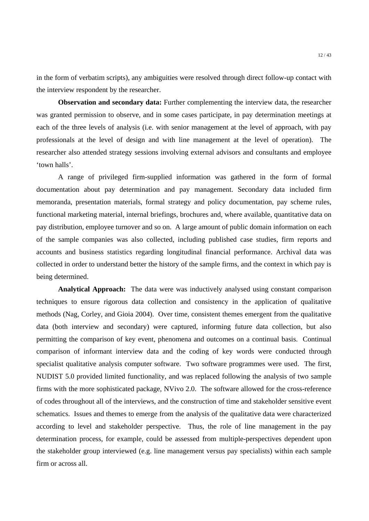in the form of verbatim scripts), any ambiguities were resolved through direct follow-up contact with the interview respondent by the researcher.

**Observation and secondary data:** Further complementing the interview data, the researcher was granted permission to observe, and in some cases participate, in pay determination meetings at each of the three levels of analysis (i.e. with senior management at the level of approach, with pay professionals at the level of design and with line management at the level of operation). The researcher also attended strategy sessions involving external advisors and consultants and employee 'town halls'.

A range of privileged firm-supplied information was gathered in the form of formal documentation about pay determination and pay management. Secondary data included firm memoranda, presentation materials, formal strategy and policy documentation, pay scheme rules, functional marketing material, internal briefings, brochures and, where available, quantitative data on pay distribution, employee turnover and so on. A large amount of public domain information on each of the sample companies was also collected, including published case studies, firm reports and accounts and business statistics regarding longitudinal financial performance. Archival data was collected in order to understand better the history of the sample firms, and the context in which pay is being determined.

**Analytical Approach:** The data were was inductively analysed using constant comparison techniques to ensure rigorous data collection and consistency in the application of qualitative methods (Nag, Corley, and Gioia 2004). Over time, consistent themes emergent from the qualitative data (both interview and secondary) were captured, informing future data collection, but also permitting the comparison of key event, phenomena and outcomes on a continual basis. Continual comparison of informant interview data and the coding of key words were conducted through specialist qualitative analysis computer software. Two software programmes were used. The first, NUDIST 5.0 provided limited functionality, and was replaced following the analysis of two sample firms with the more sophisticated package, NVivo 2.0. The software allowed for the cross-reference of codes throughout all of the interviews, and the construction of time and stakeholder sensitive event schematics. Issues and themes to emerge from the analysis of the qualitative data were characterized according to level and stakeholder perspective. Thus, the role of line management in the pay determination process, for example, could be assessed from multiple-perspectives dependent upon the stakeholder group interviewed (e.g. line management versus pay specialists) within each sample firm or across all.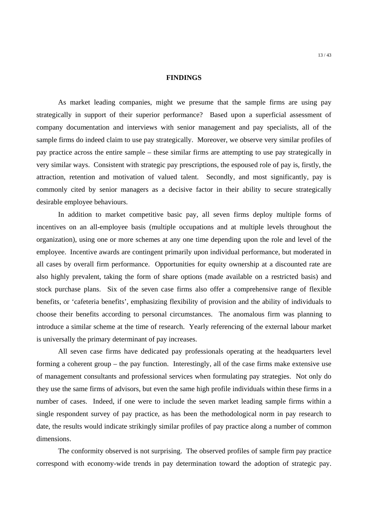## **FINDINGS**

As market leading companies, might we presume that the sample firms are using pay strategically in support of their superior performance? Based upon a superficial assessment of company documentation and interviews with senior management and pay specialists, all of the sample firms do indeed claim to use pay strategically. Moreover, we observe very similar profiles of pay practice across the entire sample – these similar firms are attempting to use pay strategically in very similar ways. Consistent with strategic pay prescriptions, the espoused role of pay is, firstly, the attraction, retention and motivation of valued talent. Secondly, and most significantly, pay is commonly cited by senior managers as a decisive factor in their ability to secure strategically desirable employee behaviours.

In addition to market competitive basic pay, all seven firms deploy multiple forms of incentives on an all-employee basis (multiple occupations and at multiple levels throughout the organization), using one or more schemes at any one time depending upon the role and level of the employee. Incentive awards are contingent primarily upon individual performance, but moderated in all cases by overall firm performance. Opportunities for equity ownership at a discounted rate are also highly prevalent, taking the form of share options (made available on a restricted basis) and stock purchase plans. Six of the seven case firms also offer a comprehensive range of flexible benefits, or 'cafeteria benefits', emphasizing flexibility of provision and the ability of individuals to choose their benefits according to personal circumstances. The anomalous firm was planning to introduce a similar scheme at the time of research. Yearly referencing of the external labour market is universally the primary determinant of pay increases.

All seven case firms have dedicated pay professionals operating at the headquarters level forming a coherent group – the pay function. Interestingly, all of the case firms make extensive use of management consultants and professional services when formulating pay strategies. Not only do they use the same firms of advisors, but even the same high profile individuals within these firms in a number of cases. Indeed, if one were to include the seven market leading sample firms within a single respondent survey of pay practice, as has been the methodological norm in pay research to date, the results would indicate strikingly similar profiles of pay practice along a number of common dimensions.

The conformity observed is not surprising. The observed profiles of sample firm pay practice correspond with economy-wide trends in pay determination toward the adoption of strategic pay.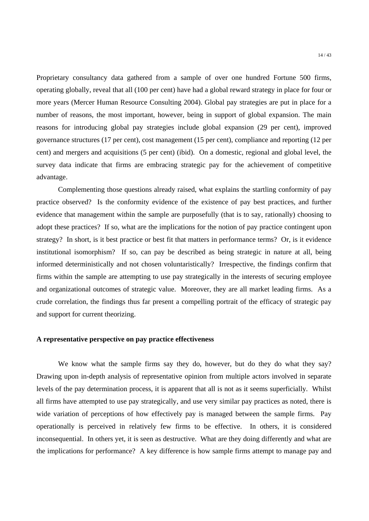Proprietary consultancy data gathered from a sample of over one hundred Fortune 500 firms, operating globally, reveal that all (100 per cent) have had a global reward strategy in place for four or more years (Mercer Human Resource Consulting 2004). Global pay strategies are put in place for a number of reasons, the most important, however, being in support of global expansion. The main reasons for introducing global pay strategies include global expansion (29 per cent), improved governance structures (17 per cent), cost management (15 per cent), compliance and reporting (12 per cent) and mergers and acquisitions (5 per cent) (ibid). On a domestic, regional and global level, the survey data indicate that firms are embracing strategic pay for the achievement of competitive advantage.

Complementing those questions already raised, what explains the startling conformity of pay practice observed? Is the conformity evidence of the existence of pay best practices, and further evidence that management within the sample are purposefully (that is to say, rationally) choosing to adopt these practices? If so, what are the implications for the notion of pay practice contingent upon strategy? In short, is it best practice or best fit that matters in performance terms? Or, is it evidence institutional isomorphism? If so, can pay be described as being strategic in nature at all, being informed deterministically and not chosen voluntaristically? Irrespective, the findings confirm that firms within the sample are attempting to use pay strategically in the interests of securing employee and organizational outcomes of strategic value. Moreover, they are all market leading firms. As a crude correlation, the findings thus far present a compelling portrait of the efficacy of strategic pay and support for current theorizing.

## **A representative perspective on pay practice effectiveness**

We know what the sample firms say they do, however, but do they do what they say? Drawing upon in-depth analysis of representative opinion from multiple actors involved in separate levels of the pay determination process, it is apparent that all is not as it seems superficially. Whilst all firms have attempted to use pay strategically, and use very similar pay practices as noted, there is wide variation of perceptions of how effectively pay is managed between the sample firms. Pay operationally is perceived in relatively few firms to be effective. In others, it is considered inconsequential. In others yet, it is seen as destructive. What are they doing differently and what are the implications for performance? A key difference is how sample firms attempt to manage pay and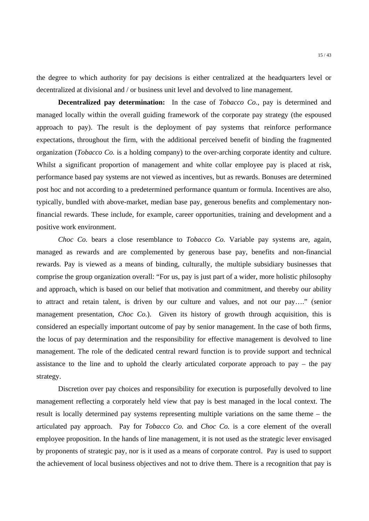the degree to which authority for pay decisions is either centralized at the headquarters level or decentralized at divisional and / or business unit level and devolved to line management.

**Decentralized pay determination:** In the case of *Tobacco Co.*, pay is determined and managed locally within the overall guiding framework of the corporate pay strategy (the espoused approach to pay). The result is the deployment of pay systems that reinforce performance expectations, throughout the firm, with the additional perceived benefit of binding the fragmented organization (*Tobacco Co.* is a holding company) to the over-arching corporate identity and culture. Whilst a significant proportion of management and white collar employee pay is placed at risk, performance based pay systems are not viewed as incentives, but as rewards. Bonuses are determined post hoc and not according to a predetermined performance quantum or formula. Incentives are also, typically, bundled with above-market, median base pay, generous benefits and complementary nonfinancial rewards. These include, for example, career opportunities, training and development and a positive work environment.

*Choc Co.* bears a close resemblance to *Tobacco Co.* Variable pay systems are, again, managed as rewards and are complemented by generous base pay, benefits and non-financial rewards. Pay is viewed as a means of binding, culturally, the multiple subsidiary businesses that comprise the group organization overall: "For us, pay is just part of a wider, more holistic philosophy and approach, which is based on our belief that motivation and commitment, and thereby our ability to attract and retain talent, is driven by our culture and values, and not our pay…." (senior management presentation, *Choc Co.*). Given its history of growth through acquisition, this is considered an especially important outcome of pay by senior management. In the case of both firms, the locus of pay determination and the responsibility for effective management is devolved to line management. The role of the dedicated central reward function is to provide support and technical assistance to the line and to uphold the clearly articulated corporate approach to pay – the pay strategy.

 Discretion over pay choices and responsibility for execution is purposefully devolved to line management reflecting a corporately held view that pay is best managed in the local context. The result is locally determined pay systems representing multiple variations on the same theme – the articulated pay approach. Pay for *Tobacco Co.* and *Choc Co.* is a core element of the overall employee proposition. In the hands of line management, it is not used as the strategic lever envisaged by proponents of strategic pay, nor is it used as a means of corporate control. Pay is used to support the achievement of local business objectives and not to drive them. There is a recognition that pay is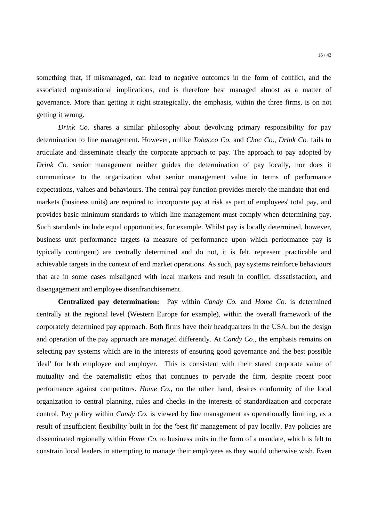something that, if mismanaged, can lead to negative outcomes in the form of conflict, and the associated organizational implications, and is therefore best managed almost as a matter of governance. More than getting it right strategically, the emphasis, within the three firms, is on not getting it wrong.

*Drink Co.* shares a similar philosophy about devolving primary responsibility for pay determination to line management. However, unlike *Tobacco Co.* and *Choc Co.*, *Drink Co.* fails to articulate and disseminate clearly the corporate approach to pay. The approach to pay adopted by *Drink Co.* senior management neither guides the determination of pay locally, nor does it communicate to the organization what senior management value in terms of performance expectations, values and behaviours. The central pay function provides merely the mandate that endmarkets (business units) are required to incorporate pay at risk as part of employees' total pay, and provides basic minimum standards to which line management must comply when determining pay. Such standards include equal opportunities, for example. Whilst pay is locally determined, however, business unit performance targets (a measure of performance upon which performance pay is typically contingent) are centrally determined and do not, it is felt, represent practicable and achievable targets in the context of end market operations. As such, pay systems reinforce behaviours that are in some cases misaligned with local markets and result in conflict, dissatisfaction, and disengagement and employee disenfranchisement.

**Centralized pay determination:** Pay within *Candy Co.* and *Home Co.* is determined centrally at the regional level (Western Europe for example), within the overall framework of the corporately determined pay approach. Both firms have their headquarters in the USA, but the design and operation of the pay approach are managed differently. At *Candy Co.*, the emphasis remains on selecting pay systems which are in the interests of ensuring good governance and the best possible 'deal' for both employee and employer. This is consistent with their stated corporate value of mutuality and the paternalistic ethos that continues to pervade the firm, despite recent poor performance against competitors. *Home Co.*, on the other hand, desires conformity of the local organization to central planning, rules and checks in the interests of standardization and corporate control. Pay policy within *Candy Co.* is viewed by line management as operationally limiting, as a result of insufficient flexibility built in for the 'best fit' management of pay locally. Pay policies are disseminated regionally within *Home Co.* to business units in the form of a mandate, which is felt to constrain local leaders in attempting to manage their employees as they would otherwise wish. Even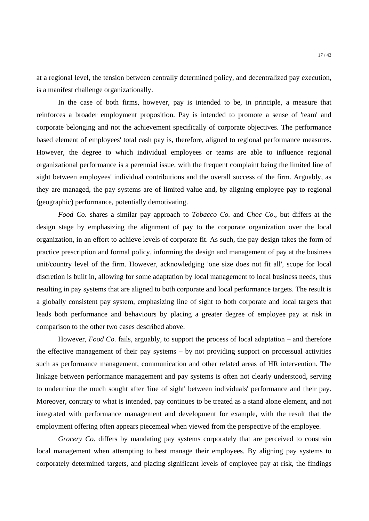at a regional level, the tension between centrally determined policy, and decentralized pay execution, is a manifest challenge organizationally.

 In the case of both firms, however, pay is intended to be, in principle, a measure that reinforces a broader employment proposition. Pay is intended to promote a sense of 'team' and corporate belonging and not the achievement specifically of corporate objectives. The performance based element of employees' total cash pay is, therefore, aligned to regional performance measures. However, the degree to which individual employees or teams are able to influence regional organizational performance is a perennial issue, with the frequent complaint being the limited line of sight between employees' individual contributions and the overall success of the firm. Arguably, as they are managed, the pay systems are of limited value and, by aligning employee pay to regional (geographic) performance, potentially demotivating.

 *Food Co.* shares a similar pay approach to *Tobacco Co.* and *Choc Co*., but differs at the design stage by emphasizing the alignment of pay to the corporate organization over the local organization, in an effort to achieve levels of corporate fit. As such, the pay design takes the form of practice prescription and formal policy, informing the design and management of pay at the business unit/country level of the firm. However, acknowledging 'one size does not fit all', scope for local discretion is built in, allowing for some adaptation by local management to local business needs, thus resulting in pay systems that are aligned to both corporate and local performance targets. The result is a globally consistent pay system, emphasizing line of sight to both corporate and local targets that leads both performance and behaviours by placing a greater degree of employee pay at risk in comparison to the other two cases described above.

However, *Food Co.* fails, arguably, to support the process of local adaptation – and therefore the effective management of their pay systems – by not providing support on processual activities such as performance management, communication and other related areas of HR intervention. The linkage between performance management and pay systems is often not clearly understood, serving to undermine the much sought after 'line of sight' between individuals' performance and their pay. Moreover, contrary to what is intended, pay continues to be treated as a stand alone element, and not integrated with performance management and development for example, with the result that the employment offering often appears piecemeal when viewed from the perspective of the employee.

*Grocery Co.* differs by mandating pay systems corporately that are perceived to constrain local management when attempting to best manage their employees. By aligning pay systems to corporately determined targets, and placing significant levels of employee pay at risk, the findings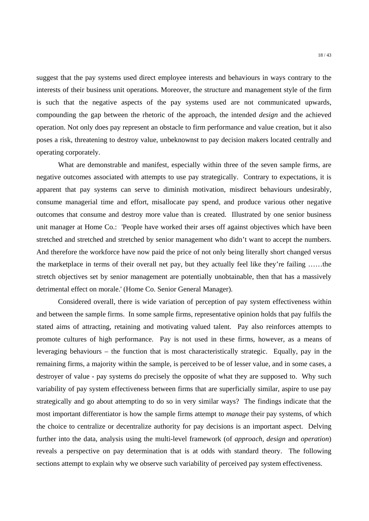suggest that the pay systems used direct employee interests and behaviours in ways contrary to the interests of their business unit operations. Moreover, the structure and management style of the firm is such that the negative aspects of the pay systems used are not communicated upwards, compounding the gap between the rhetoric of the approach, the intended *design* and the achieved operation. Not only does pay represent an obstacle to firm performance and value creation, but it also poses a risk, threatening to destroy value, unbeknownst to pay decision makers located centrally and operating corporately.

What are demonstrable and manifest, especially within three of the seven sample firms, are negative outcomes associated with attempts to use pay strategically. Contrary to expectations, it is apparent that pay systems can serve to diminish motivation, misdirect behaviours undesirably, consume managerial time and effort, misallocate pay spend, and produce various other negative outcomes that consume and destroy more value than is created. Illustrated by one senior business unit manager at Home Co.: 'People have worked their arses off against objectives which have been stretched and stretched and stretched by senior management who didn't want to accept the numbers. And therefore the workforce have now paid the price of not only being literally short changed versus the marketplace in terms of their overall net pay, but they actually feel like they're failing ……the stretch objectives set by senior management are potentially unobtainable, then that has a massively detrimental effect on morale.' (Home Co. Senior General Manager).

Considered overall, there is wide variation of perception of pay system effectiveness within and between the sample firms. In some sample firms, representative opinion holds that pay fulfils the stated aims of attracting, retaining and motivating valued talent. Pay also reinforces attempts to promote cultures of high performance. Pay is not used in these firms, however, as a means of leveraging behaviours – the function that is most characteristically strategic. Equally, pay in the remaining firms, a majority within the sample, is perceived to be of lesser value, and in some cases, a destroyer of value - pay systems do precisely the opposite of what they are supposed to. Why such variability of pay system effectiveness between firms that are superficially similar, aspire to use pay strategically and go about attempting to do so in very similar ways? The findings indicate that the most important differentiator is how the sample firms attempt to *manage* their pay systems, of which the choice to centralize or decentralize authority for pay decisions is an important aspect. Delving further into the data, analysis using the multi-level framework (of *approach*, *design* and *operation*) reveals a perspective on pay determination that is at odds with standard theory. The following sections attempt to explain why we observe such variability of perceived pay system effectiveness.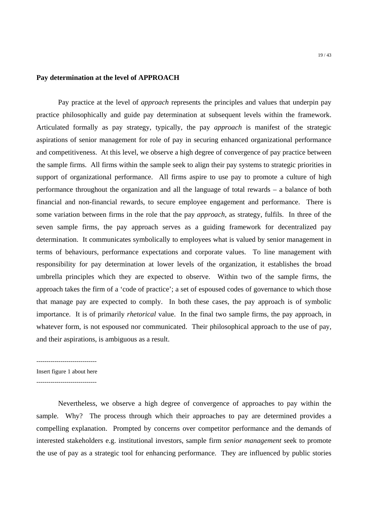#### 19 / 43

# **Pay determination at the level of APPROACH**

Pay practice at the level of *approach* represents the principles and values that underpin pay practice philosophically and guide pay determination at subsequent levels within the framework. Articulated formally as pay strategy, typically, the pay *approach* is manifest of the strategic aspirations of senior management for role of pay in securing enhanced organizational performance and competitiveness. At this level, we observe a high degree of convergence of pay practice between the sample firms. All firms within the sample seek to align their pay systems to strategic priorities in support of organizational performance. All firms aspire to use pay to promote a culture of high performance throughout the organization and all the language of total rewards – a balance of both financial and non-financial rewards, to secure employee engagement and performance. There is some variation between firms in the role that the pay *approach*, as strategy, fulfils. In three of the seven sample firms, the pay approach serves as a guiding framework for decentralized pay determination. It communicates symbolically to employees what is valued by senior management in terms of behaviours, performance expectations and corporate values. To line management with responsibility for pay determination at lower levels of the organization, it establishes the broad umbrella principles which they are expected to observe. Within two of the sample firms, the approach takes the firm of a 'code of practice'; a set of espoused codes of governance to which those that manage pay are expected to comply. In both these cases, the pay approach is of symbolic importance. It is of primarily *rhetorical* value. In the final two sample firms, the pay approach, in whatever form, is not espoused nor communicated. Their philosophical approach to the use of pay, and their aspirations, is ambiguous as a result.

Insert figure 1 about here

------------------------------

Nevertheless, we observe a high degree of convergence of approaches to pay within the sample. Why? The process through which their approaches to pay are determined provides a compelling explanation. Prompted by concerns over competitor performance and the demands of interested stakeholders e.g. institutional investors, sample firm *senior management* seek to promote the use of pay as a strategic tool for enhancing performance. They are influenced by public stories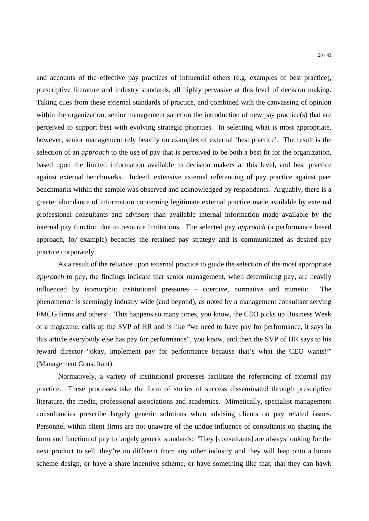and accounts of the effective pay practices of influential others (e.g. examples of best practice), prescriptive literature and industry standards, all highly pervasive at this level of decision making. Taking cues from these external standards of practice, and combined with the canvassing of opinion within the organization, senior management sanction the introduction of new pay practice(s) that are perceived to support best with evolving strategic priorities. In selecting what is most appropriate, however, senior management rely heavily on examples of external 'best practice'. The result is the selection of an *approach* to the use of pay that is perceived to be both a best fit for the organization, based upon the limited information available to decision makers at this level, and best practice against external benchmarks. Indeed, extensive external referencing of pay practice against peer benchmarks within the sample was observed and acknowledged by respondents. Arguably, there is a greater abundance of information concerning legitimate external practice made available by external professional consultants and advisors than available internal information made available by the internal pay function due to resource limitations. The selected pay *approach* (a performance based approach, for example) becomes the retained pay strategy and is communicated as desired pay practice corporately.

As a result of the reliance upon external practice to guide the selection of the most appropriate *approach* to pay, the findings indicate that senior management, when determining pay, are heavily influenced by isomorphic institutional pressures – coercive, normative and mimetic. The phenomenon is seemingly industry wide (and beyond), as noted by a management consultant serving FMCG firms and others: 'This happens so many times, you know, the CEO picks up Business Week or a magazine, calls up the SVP of HR and is like "we need to have pay for performance, it says in this article everybody else has pay for performance", you know, and then the SVP of HR says to his reward director "okay, implement pay for performance because that's what the CEO wants!"' (Management Consultant).

Normatively, a variety of institutional processes facilitate the referencing of external pay practice. These processes take the form of stories of success disseminated through prescriptive literature, the media, professional associations and academics. Mimetically, specialist management consultancies prescribe largely generic solutions when advising clients on pay related issues. Personnel within client firms are not unaware of the undue influence of consultants on shaping the form and function of pay to largely generic standards: 'They [consultants] are always looking for the next product to sell, they're no different from any other industry and they will leap onto a bonus scheme design, or have a share incentive scheme, or have something like that, that they can hawk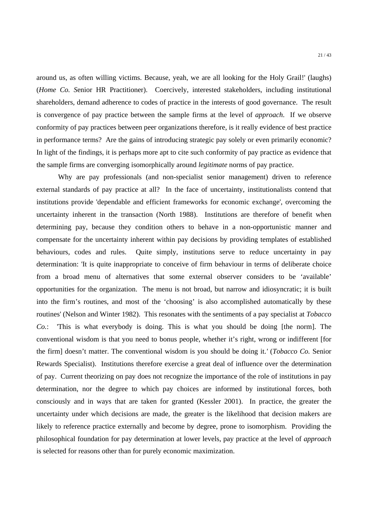around us, as often willing victims. Because, yeah, we are all looking for the Holy Grail!' (laughs) (*Home Co. S*enior HR Practitioner). Coercively, interested stakeholders, including institutional shareholders, demand adherence to codes of practice in the interests of good governance. The result is convergence of pay practice between the sample firms at the level of *approach*. If we observe conformity of pay practices between peer organizations therefore, is it really evidence of best practice in performance terms? Are the gains of introducing strategic pay solely or even primarily economic? In light of the findings, it is perhaps more apt to cite such conformity of pay practice as evidence that the sample firms are converging isomorphically around *legitimate* norms of pay practice.

Why are pay professionals (and non-specialist senior management) driven to reference external standards of pay practice at all? In the face of uncertainty, institutionalists contend that institutions provide 'dependable and efficient frameworks for economic exchange', overcoming the uncertainty inherent in the transaction (North 1988). Institutions are therefore of benefit when determining pay, because they condition others to behave in a non-opportunistic manner and compensate for the uncertainty inherent within pay decisions by providing templates of established behaviours, codes and rules. Quite simply, institutions serve to reduce uncertainty in pay determination: 'It is quite inappropriate to conceive of firm behaviour in terms of deliberate choice from a broad menu of alternatives that some external observer considers to be 'available' opportunities for the organization. The menu is not broad, but narrow and idiosyncratic; it is built into the firm's routines, and most of the 'choosing' is also accomplished automatically by these routines' (Nelson and Winter 1982). This resonates with the sentiments of a pay specialist at *Tobacco Co.*: 'This is what everybody is doing. This is what you should be doing [the norm]. The conventional wisdom is that you need to bonus people, whether it's right, wrong or indifferent [for the firm] doesn't matter. The conventional wisdom is you should be doing it.*'* (*Tobacco Co.* Senior Rewards Specialist). Institutions therefore exercise a great deal of influence over the determination of pay. Current theorizing on pay does not recognize the importance of the role of institutions in pay determination, nor the degree to which pay choices are informed by institutional forces, both consciously and in ways that are taken for granted (Kessler 2001). In practice, the greater the uncertainty under which decisions are made, the greater is the likelihood that decision makers are likely to reference practice externally and become by degree, prone to isomorphism. Providing the philosophical foundation for pay determination at lower levels, pay practice at the level of *approach* is selected for reasons other than for purely economic maximization.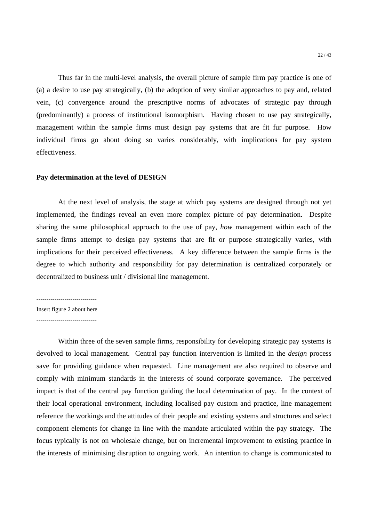Thus far in the multi-level analysis, the overall picture of sample firm pay practice is one of (a) a desire to use pay strategically, (b) the adoption of very similar approaches to pay and, related vein, (c) convergence around the prescriptive norms of advocates of strategic pay through (predominantly) a process of institutional isomorphism. Having chosen to use pay strategically, management within the sample firms must design pay systems that are fit fur purpose. How individual firms go about doing so varies considerably, with implications for pay system effectiveness.

#### **Pay determination at the level of DESIGN**

At the next level of analysis, the stage at which pay systems are designed through not yet implemented, the findings reveal an even more complex picture of pay determination. Despite sharing the same philosophical approach to the use of pay, *how* management within each of the sample firms attempt to design pay systems that are fit or purpose strategically varies, with implications for their perceived effectiveness. A key difference between the sample firms is the degree to which authority and responsibility for pay determination is centralized corporately or decentralized to business unit / divisional line management.

------------------------------ Insert figure 2 about here

------------------------------

Within three of the seven sample firms, responsibility for developing strategic pay systems is devolved to local management. Central pay function intervention is limited in the *design* process save for providing guidance when requested. Line management are also required to observe and comply with minimum standards in the interests of sound corporate governance. The perceived impact is that of the central pay function guiding the local determination of pay. In the context of their local operational environment, including localised pay custom and practice, line management reference the workings and the attitudes of their people and existing systems and structures and select component elements for change in line with the mandate articulated within the pay strategy. The focus typically is not on wholesale change, but on incremental improvement to existing practice in the interests of minimising disruption to ongoing work. An intention to change is communicated to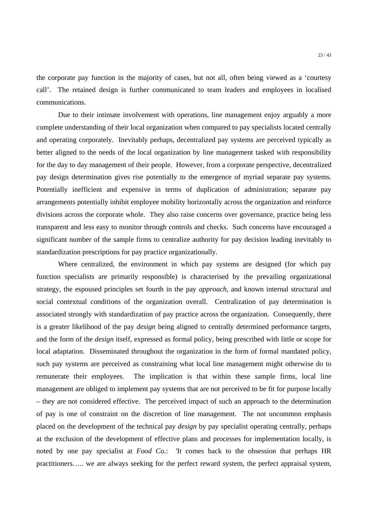the corporate pay function in the majority of cases, but not all, often being viewed as a 'courtesy call'. The retained design is further communicated to team leaders and employees in localised communications.

Due to their intimate involvement with operations, line management enjoy arguably a more complete understanding of their local organization when compared to pay specialists located centrally and operating corporately. Inevitably perhaps, decentralized pay systems are perceived typically as better aligned to the needs of the local organization by line management tasked with responsibility for the day to day management of their people. However, from a corporate perspective, decentralized pay design determination gives rise potentially to the emergence of myriad separate pay systems. Potentially inefficient and expensive in terms of duplication of administration; separate pay arrangements potentially inhibit employee mobility horizontally across the organization and reinforce divisions across the corporate whole. They also raise concerns over governance, practice being less transparent and less easy to monitor through controls and checks. Such concerns have encouraged a significant number of the sample firms to centralize authority for pay decision leading inevitably to standardization prescriptions for pay practice organizationally.

Where centralized, the environment in which pay systems are designed (for which pay function specialists are primarily responsible) is characterised by the prevailing organizational strategy, the espoused principles set fourth in the pay *approach*, and known internal structural and social contextual conditions of the organization overall. Centralization of pay determination is associated strongly with standardization of pay practice across the organization. Consequently, there is a greater likelihood of the pay *design* being aligned to centrally determined performance targets, and the form of the *design* itself, expressed as formal policy, being prescribed with little or scope for local adaptation. Disseminated throughout the organization in the form of formal mandated policy, such pay systems are perceived as constraining what local line management might otherwise do to remunerate their employees. The implication is that within these sample firms, local line management are obliged to implement pay systems that are not perceived to be fit for purpose locally – they are not considered effective. The perceived impact of such an approach to the determination of pay is one of constraint on the discretion of line management. The not uncommon emphasis placed on the development of the technical pay *design* by pay specialist operating centrally, perhaps at the exclusion of the development of effective plans and processes for implementation locally, is noted by one pay specialist at *Food Co.*: 'It comes back to the obsession that perhaps HR practitioners….. we are always seeking for the perfect reward system, the perfect appraisal system,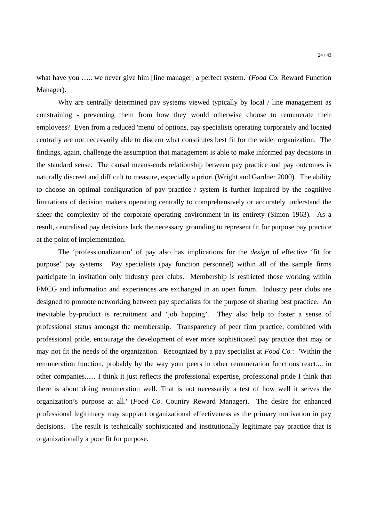what have you ….. we never give him [line manager] a perfect system.' (*Food Co.* Reward Function Manager).

Why are centrally determined pay systems viewed typically by local / line management as constraining - preventing them from how they would otherwise choose to remunerate their employees? Even from a reduced 'menu' of options, pay specialists operating corporately and located centrally are not necessarily able to discern what constitutes best fit for the wider organization. The findings, again, challenge the assumption that management is able to make informed pay decisions in the standard sense. The causal means-ends relationship between pay practice and pay outcomes is naturally discreet and difficult to measure, especially a priori (Wright and Gardner 2000). The ability to choose an optimal configuration of pay practice / system is further impaired by the cognitive limitations of decision makers operating centrally to comprehensively or accurately understand the sheer the complexity of the corporate operating environment in its entirety (Simon 1963). As a result, centralised pay decisions lack the necessary grounding to represent fit for purpose pay practice at the point of implementation.

The 'professionalization' of pay also has implications for the *design* of effective 'fit for purpose' pay systems. Pay specialists (pay function personnel) within all of the sample firms participate in invitation only industry peer clubs. Membership is restricted those working within FMCG and information and experiences are exchanged in an open forum. Industry peer clubs are designed to promote networking between pay specialists for the purpose of sharing best practice. An inevitable by-product is recruitment and 'job hopping'. They also help to foster a sense of professional status amongst the membership. Transparency of peer firm practice, combined with professional pride, encourage the development of ever more sophisticated pay practice that may or may not fit the needs of the organization. Recognized by a pay specialist at *Food Co.*: 'Within the remuneration function, probably by the way your peers in other remuneration functions react.... in other companies...... I think it just reflects the professional expertise, professional pride I think that there is about doing remuneration well. That is not necessarily a test of how well it serves the organization's purpose at all.' (*Food Co.* Country Reward Manager). The desire for enhanced professional legitimacy may supplant organizational effectiveness as the primary motivation in pay decisions. The result is technically sophisticated and institutionally legitimate pay practice that is organizationally a poor fit for purpose.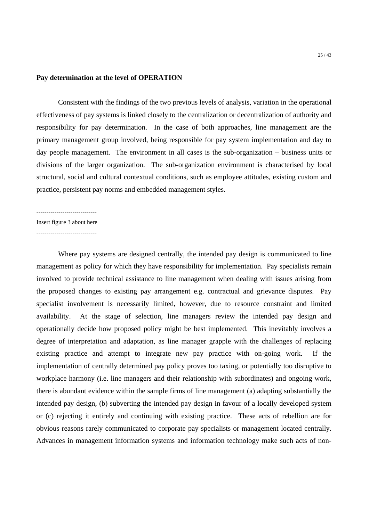## **Pay determination at the level of OPERATION**

Consistent with the findings of the two previous levels of analysis, variation in the operational effectiveness of pay systems is linked closely to the centralization or decentralization of authority and responsibility for pay determination. In the case of both approaches, line management are the primary management group involved, being responsible for pay system implementation and day to day people management. The environment in all cases is the sub-organization – business units or divisions of the larger organization. The sub-organization environment is characterised by local structural, social and cultural contextual conditions, such as employee attitudes, existing custom and practice, persistent pay norms and embedded management styles.

------------------------------

Insert figure 3 about here

 $-$ 

Where pay systems are designed centrally, the intended pay design is communicated to line management as policy for which they have responsibility for implementation. Pay specialists remain involved to provide technical assistance to line management when dealing with issues arising from the proposed changes to existing pay arrangement e.g. contractual and grievance disputes. Pay specialist involvement is necessarily limited, however, due to resource constraint and limited availability. At the stage of selection, line managers review the intended pay design and operationally decide how proposed policy might be best implemented. This inevitably involves a degree of interpretation and adaptation, as line manager grapple with the challenges of replacing existing practice and attempt to integrate new pay practice with on-going work. If the implementation of centrally determined pay policy proves too taxing, or potentially too disruptive to workplace harmony (i.e. line managers and their relationship with subordinates) and ongoing work, there is abundant evidence within the sample firms of line management (a) adapting substantially the intended pay design, (b) subverting the intended pay design in favour of a locally developed system or (c) rejecting it entirely and continuing with existing practice. These acts of rebellion are for obvious reasons rarely communicated to corporate pay specialists or management located centrally. Advances in management information systems and information technology make such acts of non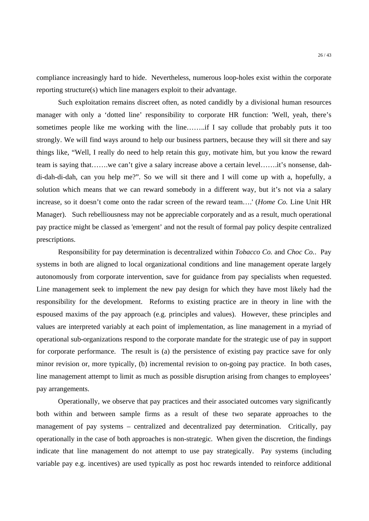compliance increasingly hard to hide. Nevertheless, numerous loop-holes exist within the corporate reporting structure(s) which line managers exploit to their advantage.

Such exploitation remains discreet often, as noted candidly by a divisional human resources manager with only a 'dotted line' responsibility to corporate HR function: 'Well, yeah, there's sometimes people like me working with the line……..if I say collude that probably puts it too strongly. We will find ways around to help our business partners, because they will sit there and say things like, "Well, I really do need to help retain this guy, motivate him, but you know the reward team is saying that…….we can't give a salary increase above a certain level…….it's nonsense, dahdi-dah-di-dah, can you help me?". So we will sit there and I will come up with a, hopefully, a solution which means that we can reward somebody in a different way, but it's not via a salary increase, so it doesn't come onto the radar screen of the reward team….' (*Home Co.* Line Unit HR Manager). Such rebelliousness may not be appreciable corporately and as a result, much operational pay practice might be classed as 'emergent' and not the result of formal pay policy despite centralized prescriptions.

Responsibility for pay determination is decentralized within *Tobacco Co.* and *Choc Co.*. Pay systems in both are aligned to local organizational conditions and line management operate largely autonomously from corporate intervention, save for guidance from pay specialists when requested. Line management seek to implement the new pay design for which they have most likely had the responsibility for the development. Reforms to existing practice are in theory in line with the espoused maxims of the pay approach (e.g. principles and values). However, these principles and values are interpreted variably at each point of implementation, as line management in a myriad of operational sub-organizations respond to the corporate mandate for the strategic use of pay in support for corporate performance. The result is (a) the persistence of existing pay practice save for only minor revision or, more typically, (b) incremental revision to on-going pay practice. In both cases, line management attempt to limit as much as possible disruption arising from changes to employees' pay arrangements.

Operationally, we observe that pay practices and their associated outcomes vary significantly both within and between sample firms as a result of these two separate approaches to the management of pay systems – centralized and decentralized pay determination. Critically, pay operationally in the case of both approaches is non-strategic. When given the discretion, the findings indicate that line management do not attempt to use pay strategically. Pay systems (including variable pay e.g. incentives) are used typically as post hoc rewards intended to reinforce additional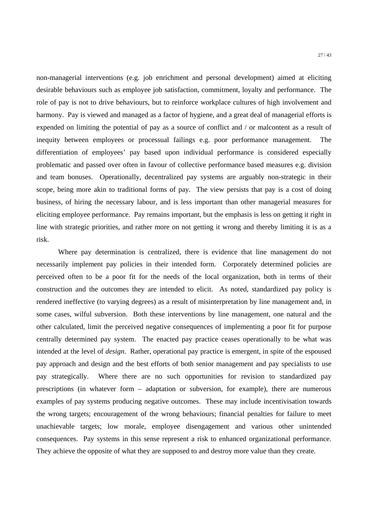non-managerial interventions (e.g. job enrichment and personal development) aimed at eliciting desirable behaviours such as employee job satisfaction, commitment, loyalty and performance. The role of pay is not to drive behaviours, but to reinforce workplace cultures of high involvement and harmony. Pay is viewed and managed as a factor of hygiene, and a great deal of managerial efforts is expended on limiting the potential of pay as a source of conflict and / or malcontent as a result of inequity between employees or processual failings e.g. poor performance management. The differentiation of employees' pay based upon individual performance is considered especially problematic and passed over often in favour of collective performance based measures e.g. division and team bonuses. Operationally, decentralized pay systems are arguably non-strategic in their scope, being more akin to traditional forms of pay. The view persists that pay is a cost of doing business, of hiring the necessary labour, and is less important than other managerial measures for eliciting employee performance. Pay remains important, but the emphasis is less on getting it right in line with strategic priorities, and rather more on not getting it wrong and thereby limiting it is as a risk.

Where pay determination is centralized, there is evidence that line management do not necessarily implement pay policies in their intended form. Corporately determined policies are perceived often to be a poor fit for the needs of the local organization, both in terms of their construction and the outcomes they are intended to elicit. As noted, standardized pay policy is rendered ineffective (to varying degrees) as a result of misinterpretation by line management and, in some cases, wilful subversion. Both these interventions by line management, one natural and the other calculated, limit the perceived negative consequences of implementing a poor fit for purpose centrally determined pay system. The enacted pay practice ceases operationally to be what was intended at the level of *design*. Rather, operational pay practice is emergent, in spite of the espoused pay approach and design and the best efforts of both senior management and pay specialists to use pay strategically. Where there are no such opportunities for revision to standardized pay prescriptions (in whatever form – adaptation or subversion, for example), there are numerous examples of pay systems producing negative outcomes. These may include incentivisation towards the wrong targets; encouragement of the wrong behaviours; financial penalties for failure to meet unachievable targets; low morale, employee disengagement and various other unintended consequences. Pay systems in this sense represent a risk to enhanced organizational performance. They achieve the opposite of what they are supposed to and destroy more value than they create.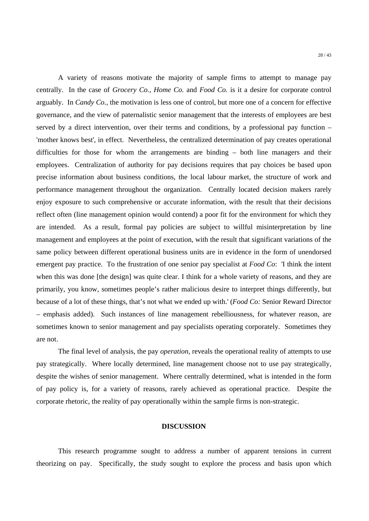A variety of reasons motivate the majority of sample firms to attempt to manage pay centrally. In the case of *Grocery Co.*, *Home Co.* and *Food Co.* is it a desire for corporate control arguably. In *Candy Co.*, the motivation is less one of control, but more one of a concern for effective governance, and the view of paternalistic senior management that the interests of employees are best served by a direct intervention, over their terms and conditions, by a professional pay function – 'mother knows best', in effect. Nevertheless, the centralized determination of pay creates operational difficulties for those for whom the arrangements are binding – both line managers and their employees. Centralization of authority for pay decisions requires that pay choices be based upon precise information about business conditions, the local labour market, the structure of work and performance management throughout the organization. Centrally located decision makers rarely enjoy exposure to such comprehensive or accurate information, with the result that their decisions reflect often (line management opinion would contend) a poor fit for the environment for which they are intended. As a result, formal pay policies are subject to willful misinterpretation by line management and employees at the point of execution, with the result that significant variations of the same policy between different operational business units are in evidence in the form of unendorsed emergent pay practice. To the frustration of one senior pay specialist at *Food Co*: 'I think the intent when this was done [the design] was quite clear. I think for a whole variety of reasons, and they are primarily, you know, sometimes people's rather malicious desire to interpret things differently, but because of a lot of these things, that's not what we ended up with.' (*Food Co:* Senior Reward Director – emphasis added). Such instances of line management rebelliousness, for whatever reason, are sometimes known to senior management and pay specialists operating corporately. Sometimes they are not.

The final level of analysis, the pay *operation*, reveals the operational reality of attempts to use pay strategically. Where locally determined, line management choose not to use pay strategically, despite the wishes of senior management. Where centrally determined, what is intended in the form of pay policy is, for a variety of reasons, rarely achieved as operational practice. Despite the corporate rhetoric, the reality of pay operationally within the sample firms is non-strategic.

## **DISCUSSION**

This research programme sought to address a number of apparent tensions in current theorizing on pay. Specifically, the study sought to explore the process and basis upon which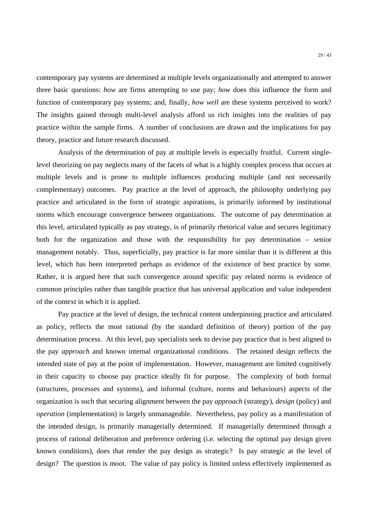contemporary pay systems are determined at multiple levels organizationally and attempted to answer three basic questions: *how* are firms attempting to use pay; *how* does this influence the form and function of contemporary pay systems; and, finally, *how well* are these systems perceived to work? The insights gained through multi-level analysis afford us rich insights into the realities of pay practice within the sample firms. A number of conclusions are drawn and the implications for pay theory, practice and future research discussed.

Analysis of the determination of pay at multiple levels is especially fruitful. Current singlelevel theorizing on pay neglects many of the facets of what is a highly complex process that occurs at multiple levels and is prone to multiple influences producing multiple (and not necessarily complementary) outcomes. Pay practice at the level of approach, the philosophy underlying pay practice and articulated in the form of strategic aspirations, is primarily informed by institutional norms which encourage convergence between organizations. The outcome of pay determination at this level, articulated typically as pay strategy, is of primarily rhetorical value and secures legitimacy both for the organization and those with the responsibility for pay determination – senior management notably. Thus, superficially, pay practice is far more similar than it is different at this level, which has been interpreted perhaps as evidence of the existence of best practice by some. Rather, it is argued here that such convergence around specific pay related norms is evidence of common principles rather than tangible practice that has universal application and value independent of the context in which it is applied.

Pay practice at the level of design, the technical content underpinning practice and articulated as policy, reflects the most rational (by the standard definition of theory) portion of the pay determination process. At this level, pay specialists seek to devise pay practice that is best aligned to the pay *approach* and known internal organizational conditions. The retained design reflects the intended state of pay at the point of implementation. However, management are limited cognitively in their capacity to choose pay practice ideally fit for purpose. The complexity of both formal (structures, processes and systems), and informal (culture, norms and behaviours) aspects of the organization is such that securing alignment between the pay *approach* (strategy), *design* (policy) and *operation* (implementation) is largely unmanageable. Nevertheless, pay policy as a manifestation of the intended design, is primarily managerially determined. If managerially determined through a process of rational deliberation and preference ordering (i.e. selecting the optimal pay design given known conditions), does that render the pay design as strategic? Is pay strategic at the level of design? The question is moot. The value of pay policy is limited unless effectively implemented as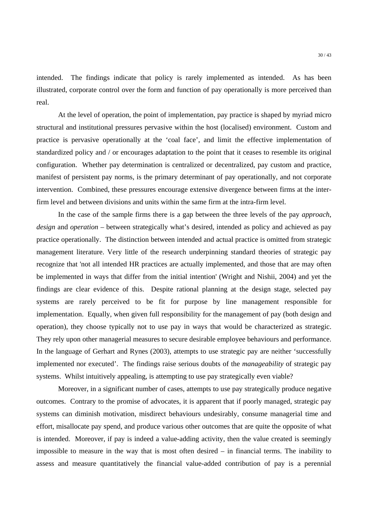intended. The findings indicate that policy is rarely implemented as intended. As has been illustrated, corporate control over the form and function of pay operationally is more perceived than real.

At the level of operation, the point of implementation, pay practice is shaped by myriad micro structural and institutional pressures pervasive within the host (localised) environment. Custom and practice is pervasive operationally at the 'coal face', and limit the effective implementation of standardized policy and / or encourages adaptation to the point that it ceases to resemble its original configuration. Whether pay determination is centralized or decentralized, pay custom and practice, manifest of persistent pay norms, is the primary determinant of pay operationally, and not corporate intervention. Combined, these pressures encourage extensive divergence between firms at the interfirm level and between divisions and units within the same firm at the intra-firm level.

In the case of the sample firms there is a gap between the three levels of the pay *approach*, *design* and *operation* – between strategically what's desired, intended as policy and achieved as pay practice operationally. The distinction between intended and actual practice is omitted from strategic management literature. Very little of the research underpinning standard theories of strategic pay recognize that 'not all intended HR practices are actually implemented, and those that are may often be implemented in ways that differ from the initial intention' (Wright and Nishii, 2004) and yet the findings are clear evidence of this. Despite rational planning at the design stage, selected pay systems are rarely perceived to be fit for purpose by line management responsible for implementation. Equally, when given full responsibility for the management of pay (both design and operation), they choose typically not to use pay in ways that would be characterized as strategic. They rely upon other managerial measures to secure desirable employee behaviours and performance. In the language of Gerhart and Rynes (2003), attempts to use strategic pay are neither 'successfully implemented nor executed'. The findings raise serious doubts of the *manageability* of strategic pay systems. Whilst intuitively appealing, is attempting to use pay strategically even viable?

Moreover, in a significant number of cases, attempts to use pay strategically produce negative outcomes. Contrary to the promise of advocates, it is apparent that if poorly managed, strategic pay systems can diminish motivation, misdirect behaviours undesirably, consume managerial time and effort, misallocate pay spend, and produce various other outcomes that are quite the opposite of what is intended. Moreover, if pay is indeed a value-adding activity, then the value created is seemingly impossible to measure in the way that is most often desired – in financial terms. The inability to assess and measure quantitatively the financial value-added contribution of pay is a perennial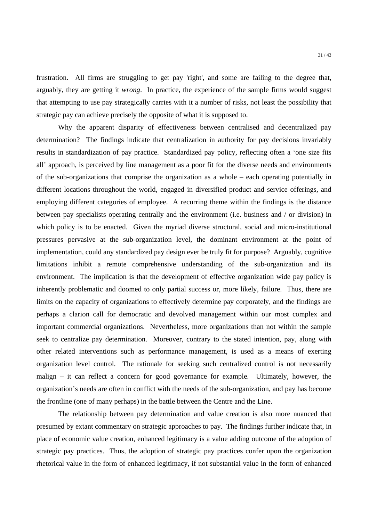frustration. All firms are struggling to get pay 'right', and some are failing to the degree that, arguably, they are getting it *wrong*. In practice, the experience of the sample firms would suggest that attempting to use pay strategically carries with it a number of risks, not least the possibility that strategic pay can achieve precisely the opposite of what it is supposed to.

Why the apparent disparity of effectiveness between centralised and decentralized pay determination? The findings indicate that centralization in authority for pay decisions invariably results in standardization of pay practice. Standardized pay policy, reflecting often a 'one size fits all' approach, is perceived by line management as a poor fit for the diverse needs and environments of the sub-organizations that comprise the organization as a whole – each operating potentially in different locations throughout the world, engaged in diversified product and service offerings, and employing different categories of employee. A recurring theme within the findings is the distance between pay specialists operating centrally and the environment (i.e. business and / or division) in which policy is to be enacted. Given the myriad diverse structural, social and micro-institutional pressures pervasive at the sub-organization level, the dominant environment at the point of implementation, could any standardized pay design ever be truly fit for purpose? Arguably, cognitive limitations inhibit a remote comprehensive understanding of the sub-organization and its environment. The implication is that the development of effective organization wide pay policy is inherently problematic and doomed to only partial success or, more likely, failure. Thus, there are limits on the capacity of organizations to effectively determine pay corporately, and the findings are perhaps a clarion call for democratic and devolved management within our most complex and important commercial organizations. Nevertheless, more organizations than not within the sample seek to centralize pay determination. Moreover, contrary to the stated intention, pay, along with other related interventions such as performance management, is used as a means of exerting organization level control. The rationale for seeking such centralized control is not necessarily malign – it can reflect a concern for good governance for example. Ultimately, however, the organization's needs are often in conflict with the needs of the sub-organization, and pay has become the frontline (one of many perhaps) in the battle between the Centre and the Line.

The relationship between pay determination and value creation is also more nuanced that presumed by extant commentary on strategic approaches to pay. The findings further indicate that, in place of economic value creation, enhanced legitimacy is a value adding outcome of the adoption of strategic pay practices. Thus, the adoption of strategic pay practices confer upon the organization rhetorical value in the form of enhanced legitimacy, if not substantial value in the form of enhanced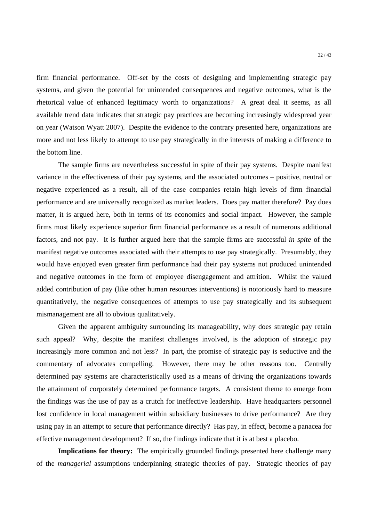firm financial performance. Off-set by the costs of designing and implementing strategic pay systems, and given the potential for unintended consequences and negative outcomes, what is the rhetorical value of enhanced legitimacy worth to organizations? A great deal it seems, as all available trend data indicates that strategic pay practices are becoming increasingly widespread year on year (Watson Wyatt 2007). Despite the evidence to the contrary presented here, organizations are more and not less likely to attempt to use pay strategically in the interests of making a difference to the bottom line.

 The sample firms are nevertheless successful in spite of their pay systems. Despite manifest variance in the effectiveness of their pay systems, and the associated outcomes – positive, neutral or negative experienced as a result, all of the case companies retain high levels of firm financial performance and are universally recognized as market leaders. Does pay matter therefore? Pay does matter, it is argued here, both in terms of its economics and social impact. However, the sample firms most likely experience superior firm financial performance as a result of numerous additional factors, and not pay. It is further argued here that the sample firms are successful *in spite* of the manifest negative outcomes associated with their attempts to use pay strategically. Presumably, they would have enjoyed even greater firm performance had their pay systems not produced unintended and negative outcomes in the form of employee disengagement and attrition. Whilst the valued added contribution of pay (like other human resources interventions) is notoriously hard to measure quantitatively, the negative consequences of attempts to use pay strategically and its subsequent mismanagement are all to obvious qualitatively.

Given the apparent ambiguity surrounding its manageability, why does strategic pay retain such appeal? Why, despite the manifest challenges involved, is the adoption of strategic pay increasingly more common and not less? In part, the promise of strategic pay is seductive and the commentary of advocates compelling. However, there may be other reasons too. Centrally determined pay systems are characteristically used as a means of driving the organizations towards the attainment of corporately determined performance targets. A consistent theme to emerge from the findings was the use of pay as a crutch for ineffective leadership. Have headquarters personnel lost confidence in local management within subsidiary businesses to drive performance? Are they using pay in an attempt to secure that performance directly? Has pay, in effect, become a panacea for effective management development? If so, the findings indicate that it is at best a placebo.

**Implications for theory:** The empirically grounded findings presented here challenge many of the *managerial* assumptions underpinning strategic theories of pay. Strategic theories of pay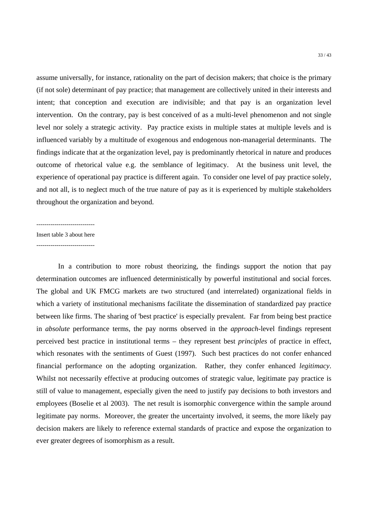assume universally, for instance, rationality on the part of decision makers; that choice is the primary (if not sole) determinant of pay practice; that management are collectively united in their interests and intent; that conception and execution are indivisible; and that pay is an organization level intervention. On the contrary, pay is best conceived of as a multi-level phenomenon and not single level nor solely a strategic activity. Pay practice exists in multiple states at multiple levels and is influenced variably by a multitude of exogenous and endogenous non-managerial determinants. The findings indicate that at the organization level, pay is predominantly rhetorical in nature and produces outcome of rhetorical value e.g. the semblance of legitimacy. At the business unit level, the experience of operational pay practice is different again. To consider one level of pay practice solely, and not all, is to neglect much of the true nature of pay as it is experienced by multiple stakeholders throughout the organization and beyond.

#### -----------------------------

Insert table 3 about here

 $-$ 

In a contribution to more robust theorizing, the findings support the notion that pay determination outcomes are influenced deterministically by powerful institutional and social forces. The global and UK FMCG markets are two structured (and interrelated) organizational fields in which a variety of institutional mechanisms facilitate the dissemination of standardized pay practice between like firms. The sharing of 'best practice' is especially prevalent. Far from being best practice in *absolute* performance terms, the pay norms observed in the *approach*-level findings represent perceived best practice in institutional terms – they represent best *principles* of practice in effect, which resonates with the sentiments of Guest (1997). Such best practices do not confer enhanced financial performance on the adopting organization. Rather, they confer enhanced *legitimacy*. Whilst not necessarily effective at producing outcomes of strategic value, legitimate pay practice is still of value to management, especially given the need to justify pay decisions to both investors and employees (Boselie et al 2003). The net result is isomorphic convergence within the sample around legitimate pay norms. Moreover, the greater the uncertainty involved, it seems, the more likely pay decision makers are likely to reference external standards of practice and expose the organization to ever greater degrees of isomorphism as a result.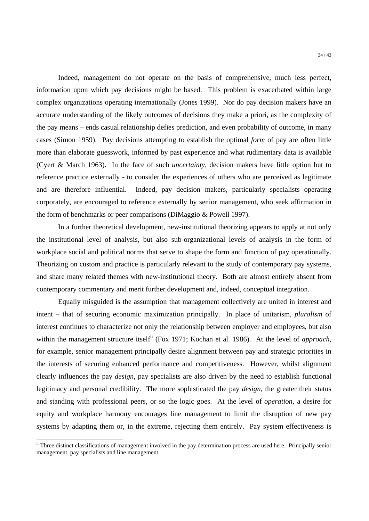Indeed, management do not operate on the basis of comprehensive, much less perfect, information upon which pay decisions might be based. This problem is exacerbated within large complex organizations operating internationally (Jones 1999). Nor do pay decision makers have an accurate understanding of the likely outcomes of decisions they make a priori, as the complexity of the pay means – ends casual relationship defies prediction, and even probability of outcome, in many cases (Simon 1959). Pay decisions attempting to establish the optimal *form* of pay are often little more than elaborate guesswork, informed by past experience and what rudimentary data is available (Cyert & March 1963). In the face of such *uncertainty*, decision makers have little option but to reference practice externally - to consider the experiences of others who are perceived as legitimate and are therefore influential. Indeed, pay decision makers, particularly specialists operating corporately, are encouraged to reference externally by senior management, who seek affirmation in the form of benchmarks or peer comparisons (DiMaggio & Powell 1997).

In a further theoretical development, new-institutional theorizing appears to apply at not only the institutional level of analysis, but also sub-organizational levels of analysis in the form of workplace social and political norms that serve to shape the form and function of pay operationally. Theorizing on custom and practice is particularly relevant to the study of contemporary pay systems, and share many related themes with new-institutional theory. Both are almost entirely absent from contemporary commentary and merit further development and, indeed, conceptual integration.

Equally misguided is the assumption that management collectively are united in interest and intent – that of securing economic maximization principally. In place of unitarism, *pluralism* of interest continues to characterize not only the relationship between employer and employees, but also within the management structure itself<sup>ii</sup> (Fox 1971; Kochan et al. 1986). At the level of *approach*, for example, senior management principally desire alignment between pay and strategic priorities in the interests of securing enhanced performance and competitiveness. However, whilst alignment clearly influences the pay *design*, pay specialists are also driven by the need to establish functional legitimacy and personal credibility. The more sophisticated the pay *design*, the greater their status and standing with professional peers, or so the logic goes. At the level of *operation*, a desire for equity and workplace harmony encourages line management to limit the disruption of new pay systems by adapting them or, in the extreme, rejecting them entirely. Pay system effectiveness is

<u>.</u>

<sup>&</sup>lt;sup>ii</sup> Three distinct classifications of management involved in the pay determination process are used here. Principally senior management, pay specialists and line management.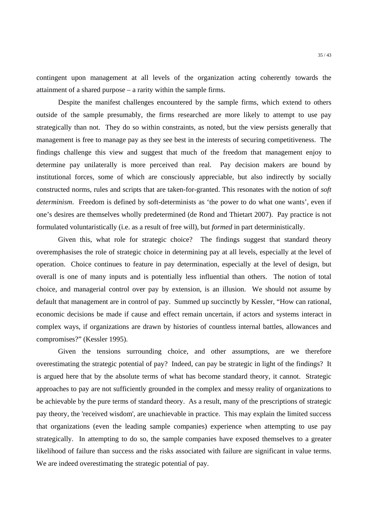contingent upon management at all levels of the organization acting coherently towards the attainment of a shared purpose – a rarity within the sample firms.

Despite the manifest challenges encountered by the sample firms, which extend to others outside of the sample presumably, the firms researched are more likely to attempt to use pay strategically than not. They do so within constraints, as noted, but the view persists generally that management is free to manage pay as they see best in the interests of securing competitiveness. The findings challenge this view and suggest that much of the freedom that management enjoy to determine pay unilaterally is more perceived than real. Pay decision makers are bound by institutional forces, some of which are consciously appreciable, but also indirectly by socially constructed norms, rules and scripts that are taken-for-granted. This resonates with the notion of *soft determinism*. Freedom is defined by soft-determinists as 'the power to do what one wants', even if one's desires are themselves wholly predetermined (de Rond and Thietart 2007). Pay practice is not formulated voluntaristically (i.e. as a result of free will), but *formed* in part deterministically.

Given this, what role for strategic choice? The findings suggest that standard theory overemphasises the role of strategic choice in determining pay at all levels, especially at the level of operation. Choice continues to feature in pay determination, especially at the level of design, but overall is one of many inputs and is potentially less influential than others. The notion of total choice, and managerial control over pay by extension, is an illusion. We should not assume by default that management are in control of pay. Summed up succinctly by Kessler, "How can rational, economic decisions be made if cause and effect remain uncertain, if actors and systems interact in complex ways, if organizations are drawn by histories of countless internal battles, allowances and compromises?" (Kessler 1995).

Given the tensions surrounding choice, and other assumptions, are we therefore overestimating the strategic potential of pay? Indeed, can pay be strategic in light of the findings? It is argued here that by the absolute terms of what has become standard theory, it cannot. Strategic approaches to pay are not sufficiently grounded in the complex and messy reality of organizations to be achievable by the pure terms of standard theory. As a result, many of the prescriptions of strategic pay theory, the 'received wisdom', are unachievable in practice. This may explain the limited success that organizations (even the leading sample companies) experience when attempting to use pay strategically. In attempting to do so, the sample companies have exposed themselves to a greater likelihood of failure than success and the risks associated with failure are significant in value terms. We are indeed overestimating the strategic potential of pay.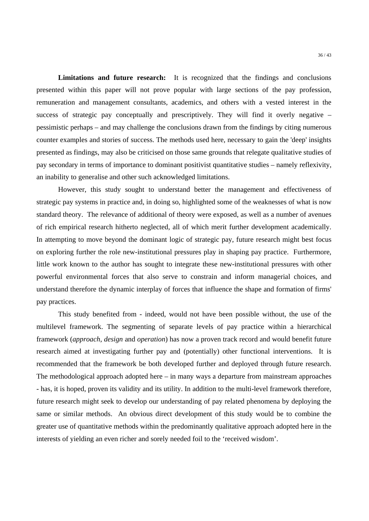**Limitations and future research:** It is recognized that the findings and conclusions presented within this paper will not prove popular with large sections of the pay profession, remuneration and management consultants, academics, and others with a vested interest in the success of strategic pay conceptually and prescriptively. They will find it overly negative  $$ pessimistic perhaps – and may challenge the conclusions drawn from the findings by citing numerous counter examples and stories of success. The methods used here, necessary to gain the 'deep' insights presented as findings, may also be criticised on those same grounds that relegate qualitative studies of pay secondary in terms of importance to dominant positivist quantitative studies – namely reflexivity, an inability to generalise and other such acknowledged limitations.

However, this study sought to understand better the management and effectiveness of strategic pay systems in practice and, in doing so, highlighted some of the weaknesses of what is now standard theory. The relevance of additional of theory were exposed, as well as a number of avenues of rich empirical research hitherto neglected, all of which merit further development academically. In attempting to move beyond the dominant logic of strategic pay, future research might best focus on exploring further the role new-institutional pressures play in shaping pay practice. Furthermore, little work known to the author has sought to integrate these new-institutional pressures with other powerful environmental forces that also serve to constrain and inform managerial choices, and understand therefore the dynamic interplay of forces that influence the shape and formation of firms' pay practices.

This study benefited from - indeed, would not have been possible without, the use of the multilevel framework. The segmenting of separate levels of pay practice within a hierarchical framework (*approach*, *design* and *operation*) has now a proven track record and would benefit future research aimed at investigating further pay and (potentially) other functional interventions. It is recommended that the framework be both developed further and deployed through future research. The methodological approach adopted here  $-$  in many ways a departure from mainstream approaches - has, it is hoped, proven its validity and its utility. In addition to the multi-level framework therefore, future research might seek to develop our understanding of pay related phenomena by deploying the same or similar methods. An obvious direct development of this study would be to combine the greater use of quantitative methods within the predominantly qualitative approach adopted here in the interests of yielding an even richer and sorely needed foil to the 'received wisdom'.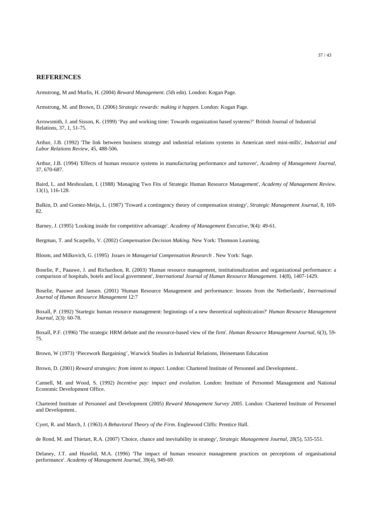#### **REFERENCES**

Armstrong, M and Murlis, H. (2004) *Reward Management.* (5th edn). London: Kogan Page.

Armstrong, M. and Brown, D. (2006) *Strategic rewards: making it happen.* London: Kogan Page.

Arrowsmith, J. and Sisson, K. (1999) 'Pay and working time: Towards organization based systems?' British Journal of Industrial Relations, 37, 1, 51-75.

Arthur, J.B. (1992) 'The link between business strategy and industrial relations systems in American steel mini-mills', *Industrial and Labor Relations Review*, 45, 488-506.

Arthur, J.B. (1994) 'Effects of human resource systems in manufacturing performance and turnover', *Academy of Management Journal*, 37, 670-687.

Baird, L. and Meshoulam, I. (1988) 'Managing Two Fits of Strategic Human Resource Management', *Academy of Management Review*. 13(1), 116-128.

Balkin, D. and Gomez-Meija, L. (1987) 'Toward a contingency theory of compensation strategy', *Strategic Management Journal*, 8, 169- 82.

Barney, J. (1995) 'Looking inside for competitive advantage'. *Academy of Management Executive*, 9(4): 49-61.

Bergman, T. and Scarpello, V. (2002) *Compensation Decision Making.* New York: Thomson Learning.

Bloom, and Milkovich, G. (1995) *Issues in Managerial Compensation Research* . New York: Sage.

Boselie, P., Paauwe, J. and Richardson, R. (2003) 'Human resource management, institutionalization and organizational performance: a comparison of hospitals, hotels and local government', *International Journal of Human Resource Management*. 14(8), 1407-1429.

Boselie, Paauwe and Jansen. (2001) 'Human Resource Management and performance: lessons from the Netherlands', *International Journal of Human Resource Management* 12:7

Boxall, P. (1992) 'Startegic human resource management: beginnings of a new theoretical sophistication?' *Human Resource Management Journal*, 2(3): 60-78.

Boxall, P.F. (1996) 'The strategic HRM debate and the resource-based view of the firm'. *Human Resource Management Journal*, 6(3), 59- 75.

Brown, W (1973) 'Piecework Bargaining', Warwick Studies in Industrial Relations, Heinemann Education

Brown, D. (2001) *Reward strategies: from intent to impact.* London: Chartered Institute of Personnel and Development..

Cannell, M. and Wood, S. (1992) *Incentive pay: impact and evolution*. London: Institute of Personnel Management and National Economic Development Office.

Chartered Institute of Personnel and Development (2005) *Reward Management Survey 2005.* London: Chartered Institute of Personnel and Development..

Cyert, R. and March, J. (1963) *A Behavioral Theory of the Firm*. Englewood Cliffs: Prentice Hall.

de Rond, M. and Thietart, R.A. (2007) 'Choice, chance and inevitability in strategy', *Strategic Management Journal*, 28(5), 535-551.

Delaney, J.T. and Huselid, M.A. (1996) 'The impact of human resource management practices on perceptions of organisational performance'. *Academy of Management Journal*, 39(4), 949-69.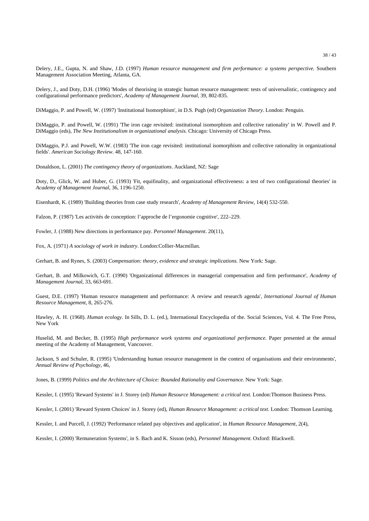Delery, J.E., Gupta, N. and Shaw, J.D. (1997) *Human resource management and firm performance: a systems perspective.* Southern Management Association Meeting, Atlanta, GA.

Delery, J., and Doty, D.H. (1996) 'Modes of theorising in strategic human resource management: tests of universalistic, contingency and configurational performance predictors', *Academy of Management Journal,* 39, 802-835.

DiMaggio, P. and Powell, W. (1997) 'Institutional Isomorphism', in D.S. Pugh (ed) *Organization Theory.* London: Penguin.

DiMaggio, P. and Powell, W. (1991) 'The iron cage revisited: institutional isomorphism and collective rationality' in W. Powell and P. DiMaggio (eds), *The New Institutionalism in organizational analysis*. Chicago: University of Chicago Press.

DiMaggio, P.J. and Powell, W.W. (1983) 'The iron cage revisited: institutional isomorphism and collective rationality in organizational fields'. *American Sociology Review*. 48, 147-160.

Donaldson, L. (2001) *The contingency theory of organizations*. Auckland, NZ: Sage

Doty, D., Glick, W. and Huber, G. (1993) 'Fit, equifinality, and organizational effectiveness: a test of two configurational theories' in *Academy of Management Journal*, 36, 1196-1250.

Eisenhardt, K. (1989) 'Building theories from case study research', *Academy of Management Review,* 14(4) 532-550.

Falzon, P. (1987) 'Les activités de conception: l'approche de l'ergonomie cognitive', 222–229.

Fowler, J. (1988) New directions in performance pay. *Personnel Management*. 20(11),

Fox, A. (1971) *A sociology of work in industry*. London:Collier-Macmillan.

Gerhart, B. and Rynes, S. (2003) *Compensation: theory, evidence and strategic implications.* New York: Sage.

Gerhart, B. and Milkowich, G.T. (1990) 'Organizational differences in managerial compensation and firm performance', *Academy of Management Journal*, 33, 663-691.

Guest, D.E. (1997) 'Human resource management and performance: A review and research agenda', *International Journal of Human Resource Management*, 8, 265-276.

Hawley, A. H. (1968). *Human ecology*. In Sills, D. L. (ed.), International Encyclopedia of the. Social Sciences, Vol. 4. The Free Press, New York

Huselid, M. and Becker, B. (1995) *High performance work systems and organizational performance*. Paper presented at the annual meeting of the Academy of Management, Vancouver.

Jackson, S and Schuler, R. (1995) 'Understanding human resource management in the context of organisations and their environments', *Annual Review of Psychology,* 46,

Jones, B. (1999) *Politics and the Architecture of Choice: Bounded Rationality and Governance.* New York: Sage.

Kessler, I. (1995) 'Reward Systems' in J. Storey (ed) *Human Resource Management: a critical text.* London:Thomson Business Press.

Kessler, I. (2001) 'Reward System Choices' in J. Storey (ed), *Human Resource Management: a critical text*. London: Thomson Learning.

Kessler, I. and Purcell, J. (1992) 'Performance related pay objectives and application', in *Human Resource Management,* 2(4),

Kessler, I. (2000) 'Remuneration Systems', in S. Bach and K. Sisson (eds), *Personnel Management.* Oxford: Blackwell.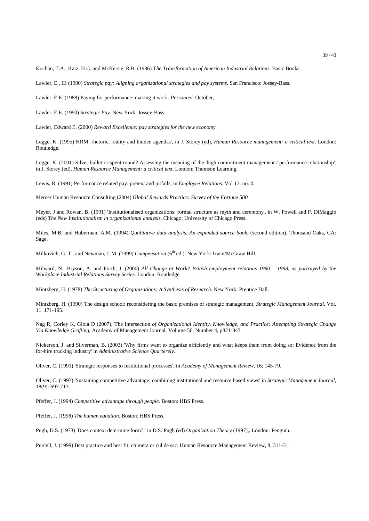Kochan, T.A., Katz, H.C. and McKersie, R.B. (1986) T*he Transformation of American Industrial Relations*. Basic Books.

Lawler, E., III (1990) *Strategic pay: Aligning organizational strategies and pay systems.* San Francisco: Jossey-Bass.

Lawler, E.E. (1988) Paying for performance: making it work. *Personnel*. October,

Lawler, E.E. (1990) *Strategic Pay*. New York: Jossey-Bass.

Lawler, Edward E. (2000) *Reward Excellence: pay strategies for the new economy.* 

Legge, K. (1995) HRM: rhetoric, reality and hidden agendas', in J. Storey (ed), *Human Resource management: a critical text*. London: Routledge.

Legge, K. (2001) Silver bullet or spent round? Assessing the meaning of the 'high commitment management / performance relationship'. in J. Storey (ed), *Human Resource Management: a critical text*. London: Thomson Learning.

Lewis, R. (1991) Performance related pay: pretext and pitfalls, in *Employee Relations*. Vol 13. no. 4.

Mercer Human Resource Consulting (2004) *Global Rewards Practice: Survey of the Fortune 500*

Meyer, J and Rowan, B. (1991) 'Institutionalised organizations: formal structure as myth and ceremony', in W. Powell and P. DiMaggio (eds) *The New Institutionalism in organizational analysis*. Chicago: University of Chicago Press.

Miles, M.B. and Huberman, A.M. (1994) *Qualitative data analysis. An expanded source book*. (second edition). Thousand Oaks, CA: Sage.

Milkovich, G. T., and Newman, J. M. (1999) *Compensation* (6<sup>th</sup> ed.). New York: Irwin/McGraw Hill.

Milward, N., Bryson, A. and Forth, J. (2000) *All Change at Work? British employment relations 1980 – 1998, as portrayed by the Workplace Industrial Relations Survey Series.* London: Routledge

Mintzberg, H. (1978) *The Structuring of Organizations: A Synthesis of Research*. New York: Prentice Hall.

Mintzberg, H. (1990) The design school: reconsidering the basic premises of strategic management. *Strategic Management Journal*. Vol. 11. 171-195.

Nag R, Corley K, Gioia D (2007), The Intersection *of Organizational Identity, Knowledge, and Practice: Attempting Strategic Change Via Knowledge Grafting*, Academy of Management Journal, Volume 50, Number 4, p821-847

Nickerson, J. and Silverman, B. (2003) 'Why firms want to organize efficiently and what keeps them from doing so: Evidence from the for-hire trucking industry' in *Administrative Science Quarterely.*

Oliver, C. (1991) 'Strategic responses to institutional processes', in *Academy of Management Review*, 16; 145-79.

Oliver, C. (1997) 'Sustaining competitive advantage: combining institutional and resource based views' in *Strategic Management Journal*, 18(9): 697-713.

Pfeffer, J. (1994) *Competitive advantage through people.* Boston: HBS Press.

Pfeffer, J. (1998) *The human equation.* Boston: HBS Press.

Pugh, D.S. (1973) 'Does context determine form?,' in D.S. Pugh (ed) *Organization Theory* (1997),. London: Penguin.

Purcell, J. (1999) Best practice and best fit: chimera or cul de sac. Human Resource Management Review, 8, 311-31.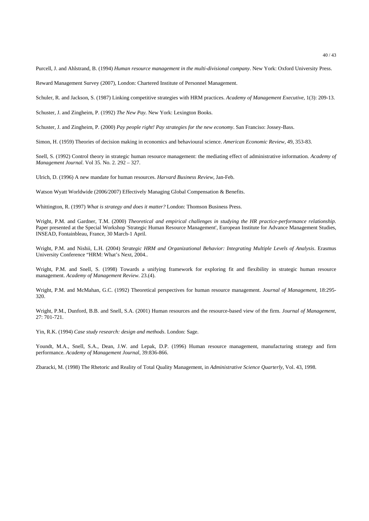Purcell, J. and Ahlstrand, B. (1994) *Human resource management in the multi-divisional company*. New York: Oxford University Press.

Reward Management Survey (2007), London: Chartered Institute of Personnel Management.

Schuler, R. and Jackson, S. (1987) Linking competitive strategies with HRM practices. *Academy of Management Executive*, 1(3): 209-13.

Schuster, J. and Zingheim, P. (1992) *The New Pay.* New York: Lexington Books.

Schuster, J. and Zingheim, P. (2000) *Pay people right! Pay strategies for the new economy*. San Franciso: Jossey-Bass.

Simon, H. (1959) Theories of decision making in economics and behavioural science. *American Economic Review*, 49, 353-83.

Snell, S. (1992) Control theory in strategic human resource management: the mediating effect of administrative information. *Academy of Management Journal*. Vol 35. No. 2. 292 – 327.

Ulrich, D. (1996) A new mandate for human resources. *Harvard Business Review*, Jan-Feb.

Watson Wyatt Worldwide (2006/2007) Effectively Managing Global Compensation & Benefits.

Whittington, R. (1997) *What is strategy and does it matter?* London: Thomson Business Press.

Wright, P.M. and Gardner, T.M. (2000) *Theoretical and empirical challenges in studying the HR practice-performance relationship*. Paper presented at the Special Workshop 'Strategic Human Resource Management', European Institute for Advance Management Studies, INSEAD, Fontainbleau, France, 30 March-1 April.

Wright, P.M. and Nishii, L.H. (2004) *Strategic HRM and Organizational Behavior: Integrating Multiple Levels of Analysis*. Erasmus University Conference "HRM: What's Next, 2004..

Wright, P.M. and Snell, S. (1998) Towards a unifying framework for exploring fit and flexibility in strategic human resource management. *Academy of Management Review.* 23.(4).

Wright, P.M. and McMahan, G.C. (1992) Theoretical perspectives for human resource management. *Journal of Management*, 18:295- 320.

Wright, P.M., Dunford, B.B. and Snell, S.A. (2001) Human resources and the resource-based view of the firm. *Journal of Management*, 27: 701-721.

Yin, R.K. (1994) *Case study research: design and methods*. London: Sage.

Youndt, M.A., Snell, S.A., Dean, J.W. and Lepak, D.P. (1996) Human resource management, manufacturing strategy and firm performance. *Academy of Management Journal*, 39:836-866.

Zbaracki, M. (1998) The Rhetoric and Reality of Total Quality Management, in *Administrative Science Quarterly*, Vol. 43, 1998.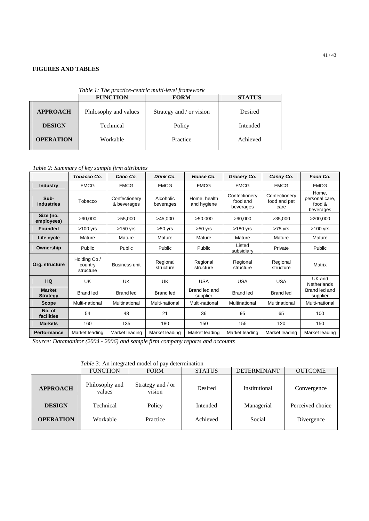# **FIGURES AND TABLES**

|                  | <b>FUNCTION</b>       | <b>FORM</b>              | <b>STATUS</b> |  |
|------------------|-----------------------|--------------------------|---------------|--|
| <b>APPROACH</b>  | Philosophy and values | Strategy and / or vision | Desired       |  |
| <b>DESIGN</b>    | Technical             | Policy                   | Intended      |  |
| <b>OPERATION</b> | Workable              | Practice                 | Achieved      |  |

*Table 1: The practice-centric multi-level fr* 

# *Table 2: Summary of key sample firm attributes*

|                                  | Tobacco Co.                          | Choc Co.                     | Drink Co.              | House Co.                   | Grocery Co.                            | Candy Co.                             | Food Co.                                       |
|----------------------------------|--------------------------------------|------------------------------|------------------------|-----------------------------|----------------------------------------|---------------------------------------|------------------------------------------------|
| <b>Industry</b>                  | <b>FMCG</b>                          | <b>FMCG</b>                  | <b>FMCG</b>            | <b>FMCG</b>                 | <b>FMCG</b>                            | <b>FMCG</b>                           | <b>FMCG</b>                                    |
| Sub-<br>industries               | Tobacco                              | Confectionery<br>& beverages | Alcoholic<br>beverages | Home, health<br>and hygiene | Confectionery<br>food and<br>beverages | Confectionery<br>food and pet<br>care | Home.<br>personal care,<br>food &<br>beverages |
| Size (no.<br>employees)          | >90.000                              | >55.000                      | >45,000                | >50.000                     | >90,000                                | >35,000                               | >200,000                                       |
| <b>Founded</b>                   | $>100$ yrs                           | $>150$ yrs                   | $>50$ yrs              | $>50$ yrs                   | $>180$ yrs                             | $>75$ yrs                             | $>100$ yrs                                     |
| Life cycle                       | Mature                               | Mature                       | Mature                 | Mature                      | Mature                                 | Mature                                | Mature                                         |
| Ownership                        | Public                               | Public                       | Public                 | Public                      | Listed<br>subsidiary                   | Private                               | Public                                         |
| Org. structure                   | Holding Co /<br>country<br>structure | Business unit                | Regional<br>structure  | Regional<br>structure       | Regional<br>structure                  | Regional<br>structure                 | <b>Matrix</b>                                  |
| <b>HQ</b>                        | UK                                   | UK                           | UK                     | <b>USA</b>                  | <b>USA</b>                             | <b>USA</b>                            | UK and<br>Netherlands                          |
| <b>Market</b><br><b>Strategy</b> | <b>Brand led</b>                     | <b>Brand led</b>             | <b>Brand led</b>       | Brand led and<br>supplier   | <b>Brand led</b>                       | <b>Brand led</b>                      | Brand led and<br>supplier                      |
| <b>Scope</b>                     | Multi-national                       | Multinational                | Multi-national         | Multi-national              | Multinational                          | Multinational                         | Multi-national                                 |
| No. of<br>facilities             | 54                                   | 48                           | 21                     | 36                          | 95                                     | 65                                    | 100                                            |
| <b>Markets</b>                   | 160                                  | 135                          | 180                    | 150                         | 155                                    | 120                                   | 150                                            |
| <b>Performance</b>               | Market leading                       | Market leading               | Market leading         | Market leading              | Market leading                         | Market leading                        | Market leading                                 |

*Source: Datamonitor (2004 - 2006) and sample firm company reports and accounts*

 *Table 3:* An integrated model of pay determination

|                  | <b>FUNCTION</b>          | <b>FORM</b>                 | <b>STATUS</b> | <b>DETERMINANT</b> | <b>OUTCOME</b>   |  |  |  |
|------------------|--------------------------|-----------------------------|---------------|--------------------|------------------|--|--|--|
| <b>APPROACH</b>  | Philosophy and<br>values | Strategy and / or<br>vision | Desired       | Institutional      | Convergence      |  |  |  |
| <b>DESIGN</b>    | Technical                | Policy                      | Intended      | Managerial         | Perceived choice |  |  |  |
| <b>OPERATION</b> | Workable                 | Practice                    | Achieved      | Social             | Divergence       |  |  |  |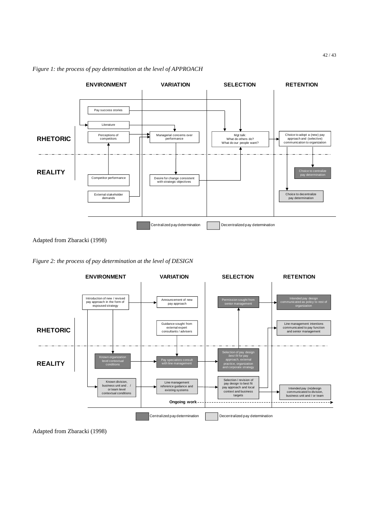

# *Figure 1: the process of pay determination at the level of APPROACH*

Adapted from Zbaracki (1998)





Adapted from Zbaracki (1998)